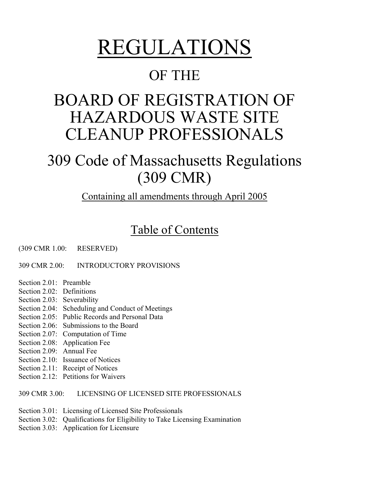# REGULATIONS<br>OF THE

## BOARD OF REGISTRATION OF HAZARDOUS WASTE SITE CLEANUP PROFESSIONALS

## 309 Code of Massachusetts Regulations (309 CMR)

Containing all amendments through April 2005

## Table of Contents

(309 CMR 1.00: RESERVED)

309 CMR 2.00: INTRODUCTORY PROVISIONS

- Section 2.01: Preamble
- Section 2.02: Definitions
- Section 2.03: Severability
- Section 2.04: Scheduling and Conduct of Meetings
- Section 2.05: Public Records and Personal Data
- Section 2.06: Submissions to the Board
- Section 2.07: Computation of Time
- Section 2.08: Application Fee
- Section 2.09: Annual Fee
- Section 2.10: Issuance of Notices
- Section 2.11: Receipt of Notices
- Section 2.12: Petitions for Waivers

309 CMR 3.00: LICENSING OF LICENSED SITE PROFESSIONALS

- Section 3.01: Licensing of Licensed Site Professionals
- Section 3.02: Qualifications for Eligibility to Take Licensing Examination
- Section 3.03: Application for Licensure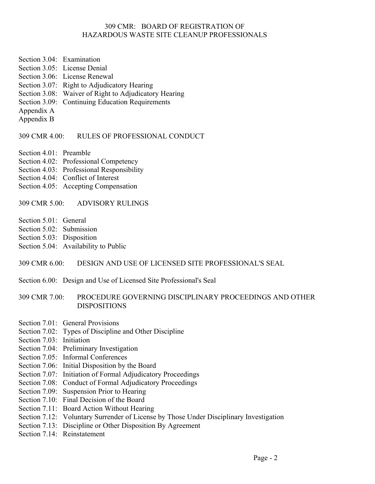- Section 3.04: Examination
- Section 3.05: License Denial
- Section 3.06: License Renewal
- Section 3.07: Right to Adjudicatory Hearing
- Section 3.08: Waiver of Right to Adjudicatory Hearing
- Section 3.09: Continuing Education Requirements
- Appendix A
- Appendix B

309 CMR 4.00: RULES OF PROFESSIONAL CONDUCT

- Section 4.01: Preamble
- Section 4.02: Professional Competency
- Section 4.03: Professional Responsibility
- Section 4.04: Conflict of Interest
- Section 4.05: Accepting Compensation

#### 309 CMR 5.00: ADVISORY RULINGS

- Section 5.01: General
- Section 5.02: Submission
- Section 5.03: Disposition
- Section 5.04: Availability to Public

#### 309 CMR 6.00: DESIGN AND USE OF LICENSED SITE PROFESSIONAL'S SEAL

Section 6.00: Design and Use of Licensed Site Professional's Seal

#### 309 CMR 7.00: PROCEDURE GOVERNING DISCIPLINARY PROCEEDINGS AND OTHER DISPOSITIONS

- Section 7.01: General Provisions
- Section 7.02: Types of Discipline and Other Discipline
- Section 7.03: Initiation
- Section 7.04: Preliminary Investigation
- Section 7.05: Informal Conferences
- Section 7.06: Initial Disposition by the Board
- Section 7.07: Initiation of Formal Adjudicatory Proceedings
- Section 7.08: Conduct of Formal Adjudicatory Proceedings
- Section 7.09: Suspension Prior to Hearing
- Section 7.10: Final Decision of the Board
- Section 7.11: Board Action Without Hearing
- Section 7.12: Voluntary Surrender of License by Those Under Disciplinary Investigation
- Section 7.13: Discipline or Other Disposition By Agreement
- Section 7.14: Reinstatement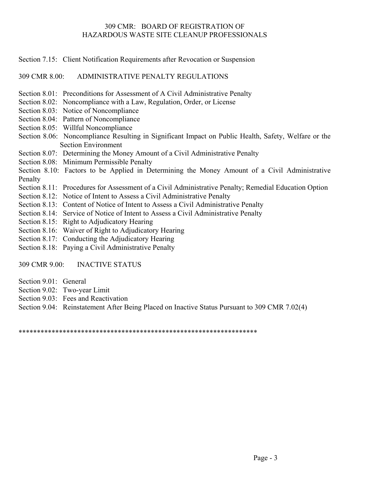Section 7.15: Client Notification Requirements after Revocation or Suspension

309 CMR 8.00: ADMINISTRATIVE PENALTY REGULATIONS

- Section 8.01: Preconditions for Assessment of A Civil Administrative Penalty
- Section 8.02: Noncompliance with a Law, Regulation, Order, or License
- Section 8.03: Notice of Noncompliance
- Section 8.04: Pattern of Noncompliance
- Section 8.05: Willful Noncompliance
- Section 8.06: Noncompliance Resulting in Significant Impact on Public Health, Safety, Welfare or the Section Environment
- Section 8.07: Determining the Money Amount of a Civil Administrative Penalty
- Section 8.08: Minimum Permissible Penalty
- Section 8.10: Factors to be Applied in Determining the Money Amount of a Civil Administrative Penalty
- Section 8.11: Procedures for Assessment of a Civil Administrative Penalty; Remedial Education Option
- Section 8.12: Notice of Intent to Assess a Civil Administrative Penalty
- Section 8.13: Content of Notice of Intent to Assess a Civil Administrative Penalty
- Section 8.14: Service of Notice of Intent to Assess a Civil Administrative Penalty
- Section 8.15: Right to Adjudicatory Hearing
- Section 8.16: Waiver of Right to Adjudicatory Hearing
- Section 8.17: Conducting the Adjudicatory Hearing
- Section 8.18: Paying a Civil Administrative Penalty

309 CMR 9.00: INACTIVE STATUS

- Section 9.01: General
- Section 9.02: Two-year Limit
- Section 9.03: Fees and Reactivation
- Section 9.04: Reinstatement After Being Placed on Inactive Status Pursuant to 309 CMR 7.02(4)

\*\*\*\*\*\*\*\*\*\*\*\*\*\*\*\*\*\*\*\*\*\*\*\*\*\*\*\*\*\*\*\*\*\*\*\*\*\*\*\*\*\*\*\*\*\*\*\*\*\*\*\*\*\*\*\*\*\*\*\*\*\*\*\*\*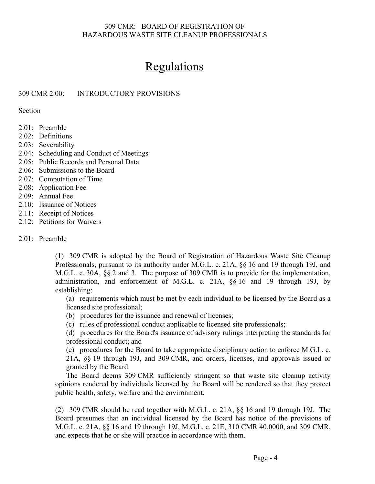## Regulations

#### 309 CMR 2.00: INTRODUCTORY PROVISIONS

Section

- 2.01: Preamble
- 2.02: Definitions
- 2.03: Severability
- 2.04: Scheduling and Conduct of Meetings
- 2.05: Public Records and Personal Data
- 2.06: Submissions to the Board
- 2.07: Computation of Time
- 2.08: Application Fee
- 2.09: Annual Fee
- 2.10: Issuance of Notices
- 2.11: Receipt of Notices
- 2.12: Petitions for Waivers

#### 2.01: Preamble

(1) 309 CMR is adopted by the Board of Registration of Hazardous Waste Site Cleanup Professionals, pursuant to its authority under M.G.L. c. 21A, §§ 16 and 19 through 19J, and M.G.L. c. 30A, §§ 2 and 3. The purpose of 309 CMR is to provide for the implementation, administration, and enforcement of M.G.L. c. 21A, §§ 16 and 19 through 19J, by establishing:

(a) requirements which must be met by each individual to be licensed by the Board as a licensed site professional;

- (b) procedures for the issuance and renewal of licenses;
- (c) rules of professional conduct applicable to licensed site professionals;

(d) procedures for the Board's issuance of advisory rulings interpreting the standards for professional conduct; and

(e) procedures for the Board to take appropriate disciplinary action to enforce M.G.L. c. 21A, §§ 19 through 19J, and 309 CMR, and orders, licenses, and approvals issued or granted by the Board.

The Board deems 309 CMR sufficiently stringent so that waste site cleanup activity opinions rendered by individuals licensed by the Board will be rendered so that they protect public health, safety, welfare and the environment.

(2) 309 CMR should be read together with M.G.L. c. 21A, §§ 16 and 19 through 19J. The Board presumes that an individual licensed by the Board has notice of the provisions of M.G.L. c. 21A, §§ 16 and 19 through 19J, M.G.L. c. 21E, 310 CMR 40.0000, and 309 CMR, and expects that he or she will practice in accordance with them.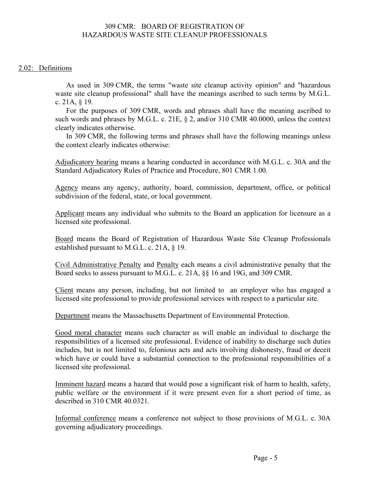#### 2.02: Definitions

As used in 309 CMR, the terms "waste site cleanup activity opinion" and "hazardous waste site cleanup professional" shall have the meanings ascribed to such terms by M.G.L. c. 21A, § 19.

For the purposes of 309 CMR, words and phrases shall have the meaning ascribed to such words and phrases by M.G.L. c. 21E, § 2, and/or 310 CMR 40.0000, unless the context clearly indicates otherwise.

In 309 CMR, the following terms and phrases shall have the following meanings unless the context clearly indicates otherwise:

Adjudicatory hearing means a hearing conducted in accordance with M.G.L. c. 30A and the Standard Adjudicatory Rules of Practice and Procedure, 801 CMR 1.00.

Agency means any agency, authority, board, commission, department, office, or political subdivision of the federal, state, or local government.

Applicant means any individual who submits to the Board an application for licensure as a licensed site professional.

Board means the Board of Registration of Hazardous Waste Site Cleanup Professionals established pursuant to M.G.L. c. 21A, § 19.

Civil Administrative Penalty and Penalty each means a civil administrative penalty that the Board seeks to assess pursuant to M.G.L. c. 21A, §§ 16 and 19G, and 309 CMR.

Client means any person, including, but not limited to an employer who has engaged a licensed site professional to provide professional services with respect to a particular site.

Department means the Massachusetts Department of Environmental Protection.

Good moral character means such character as will enable an individual to discharge the responsibilities of a licensed site professional. Evidence of inability to discharge such duties includes, but is not limited to, felonious acts and acts involving dishonesty, fraud or deceit which have or could have a substantial connection to the professional responsibilities of a licensed site professional.

Imminent hazard means a hazard that would pose a significant risk of harm to health, safety, public welfare or the environment if it were present even for a short period of time, as described in 310 CMR 40.0321.

Informal conference means a conference not subject to those provisions of M.G.L. c. 30A governing adjudicatory proceedings.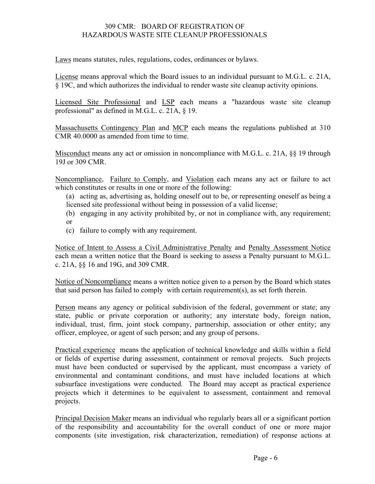Laws means statutes, rules, regulations, codes, ordinances or bylaws.

License means approval which the Board issues to an individual pursuant to M.G.L. c. 21A, § 19C, and which authorizes the individual to render waste site cleanup activity opinions.

Licensed Site Professional and LSP each means a "hazardous waste site cleanup professional" as defined in M.G.L. c. 21A, § 19.

Massachusetts Contingency Plan and MCP each means the regulations published at 310 CMR 40.0000 as amended from time to time.

Misconduct means any act or omission in noncompliance with M.G.L. c. 21A, §§ 19 through 19J or 309 CMR.

Noncompliance, Failure to Comply, and Violation each means any act or failure to act which constitutes or results in one or more of the following:

(a) acting as, advertising as, holding oneself out to be, or representing oneself as being a licensed site professional without being in possession of a valid license;

- (b) engaging in any activity prohibited by, or not in compliance with, any requirement; or
- (c) failure to comply with any requirement.

Notice of Intent to Assess a Civil Administrative Penalty and Penalty Assessment Notice each mean a written notice that the Board is seeking to assess a Penalty pursuant to M.G.L. c. 21A, §§ 16 and 19G, and 309 CMR.

Notice of Noncompliance means a written notice given to a person by the Board which states that said person has failed to comply with certain requirement(s), as set forth therein.

Person means any agency or political subdivision of the federal, government or state; any state, public or private corporation or authority; any interstate body, foreign nation, individual, trust, firm, joint stock company, partnership, association or other entity; any officer, employee, or agent of such person; and any group of persons.

Practical experience means the application of technical knowledge and skills within a field or fields of expertise during assessment, containment or removal projects. Such projects must have been conducted or supervised by the applicant, must encompass a variety of environmental and contaminant conditions, and must have included locations at which subsurface investigations were conducted. The Board may accept as practical experience projects which it determines to be equivalent to assessment, containment and removal projects.

Principal Decision Maker means an individual who regularly bears all or a significant portion of the responsibility and accountability for the overall conduct of one or more major components (site investigation, risk characterization, remediation) of response actions at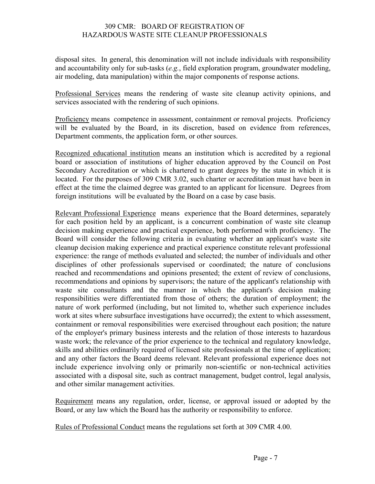disposal sites. In general, this denomination will not include individuals with responsibility and accountability only for sub-tasks (*e.g.*, field exploration program, groundwater modeling, air modeling, data manipulation) within the major components of response actions.

Professional Services means the rendering of waste site cleanup activity opinions, and services associated with the rendering of such opinions.

Proficiency means competence in assessment, containment or removal projects. Proficiency will be evaluated by the Board, in its discretion, based on evidence from references, Department comments, the application form, or other sources.

Recognized educational institution means an institution which is accredited by a regional board or association of institutions of higher education approved by the Council on Post Secondary Accreditation or which is chartered to grant degrees by the state in which it is located. For the purposes of 309 CMR 3.02, such charter or accreditation must have been in effect at the time the claimed degree was granted to an applicant for licensure. Degrees from foreign institutions will be evaluated by the Board on a case by case basis.

Relevant Professional Experience means experience that the Board determines, separately for each position held by an applicant, is a concurrent combination of waste site cleanup decision making experience and practical experience, both performed with proficiency. The Board will consider the following criteria in evaluating whether an applicant's waste site cleanup decision making experience and practical experience constitute relevant professional experience: the range of methods evaluated and selected; the number of individuals and other disciplines of other professionals supervised or coordinated; the nature of conclusions reached and recommendations and opinions presented; the extent of review of conclusions, recommendations and opinions by supervisors; the nature of the applicant's relationship with waste site consultants and the manner in which the applicant's decision making responsibilities were differentiated from those of others; the duration of employment; the nature of work performed (including, but not limited to, whether such experience includes work at sites where subsurface investigations have occurred); the extent to which assessment, containment or removal responsibilities were exercised throughout each position; the nature of the employer's primary business interests and the relation of those interests to hazardous waste work; the relevance of the prior experience to the technical and regulatory knowledge, skills and abilities ordinarily required of licensed site professionals at the time of application; and any other factors the Board deems relevant. Relevant professional experience does not include experience involving only or primarily non-scientific or non-technical activities associated with a disposal site, such as contract management, budget control, legal analysis, and other similar management activities.

Requirement means any regulation, order, license, or approval issued or adopted by the Board, or any law which the Board has the authority or responsibility to enforce.

Rules of Professional Conduct means the regulations set forth at 309 CMR 4.00.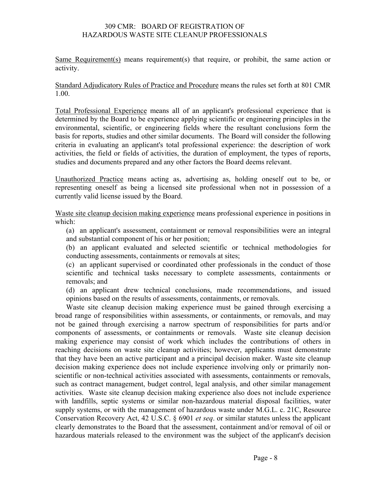Same Requirement(s) means requirement(s) that require, or prohibit, the same action or activity.

Standard Adjudicatory Rules of Practice and Procedure means the rules set forth at 801 CMR 1.00.

Total Professional Experience means all of an applicant's professional experience that is determined by the Board to be experience applying scientific or engineering principles in the environmental, scientific, or engineering fields where the resultant conclusions form the basis for reports, studies and other similar documents. The Board will consider the following criteria in evaluating an applicant's total professional experience: the description of work activities, the field or fields of activities, the duration of employment, the types of reports, studies and documents prepared and any other factors the Board deems relevant.

Unauthorized Practice means acting as, advertising as, holding oneself out to be, or representing oneself as being a licensed site professional when not in possession of a currently valid license issued by the Board.

Waste site cleanup decision making experience means professional experience in positions in which:

(a) an applicant's assessment, containment or removal responsibilities were an integral and substantial component of his or her position;

(b) an applicant evaluated and selected scientific or technical methodologies for conducting assessments, containments or removals at sites;

(c) an applicant supervised or coordinated other professionals in the conduct of those scientific and technical tasks necessary to complete assessments, containments or removals; and

(d) an applicant drew technical conclusions, made recommendations, and issued opinions based on the results of assessments, containments, or removals.

Waste site cleanup decision making experience must be gained through exercising a broad range of responsibilities within assessments, or containments, or removals, and may not be gained through exercising a narrow spectrum of responsibilities for parts and/or components of assessments, or containments or removals. Waste site cleanup decision making experience may consist of work which includes the contributions of others in reaching decisions on waste site cleanup activities; however, applicants must demonstrate that they have been an active participant and a principal decision maker. Waste site cleanup decision making experience does not include experience involving only or primarily nonscientific or non-technical activities associated with assessments, containments or removals, such as contract management, budget control, legal analysis, and other similar management activities. Waste site cleanup decision making experience also does not include experience with landfills, septic systems or similar non-hazardous material disposal facilities, water supply systems, or with the management of hazardous waste under M.G.L. c. 21C, Resource Conservation Recovery Act, 42 U.S.C. § 6901 *et seq*. or similar statutes unless the applicant clearly demonstrates to the Board that the assessment, containment and/or removal of oil or hazardous materials released to the environment was the subject of the applicant's decision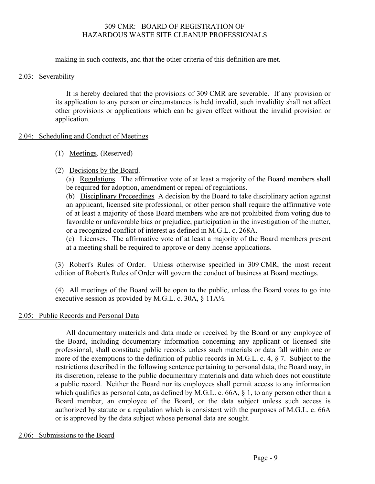making in such contexts, and that the other criteria of this definition are met.

#### 2.03: Severability

It is hereby declared that the provisions of 309 CMR are severable. If any provision or its application to any person or circumstances is held invalid, such invalidity shall not affect other provisions or applications which can be given effect without the invalid provision or application.

#### 2.04: Scheduling and Conduct of Meetings

(1) Meetings. (Reserved)

### (2) Decisions by the Board.

(a) Regulations. The affirmative vote of at least a majority of the Board members shall be required for adoption, amendment or repeal of regulations.

(b) Disciplinary Proceedings A decision by the Board to take disciplinary action against an applicant, licensed site professional, or other person shall require the affirmative vote of at least a majority of those Board members who are not prohibited from voting due to favorable or unfavorable bias or prejudice, participation in the investigation of the matter, or a recognized conflict of interest as defined in M.G.L. c. 268A.

(c) Licenses. The affirmative vote of at least a majority of the Board members present at a meeting shall be required to approve or deny license applications.

(3) Robert's Rules of Order. Unless otherwise specified in 309 CMR, the most recent edition of Robert's Rules of Order will govern the conduct of business at Board meetings.

(4) All meetings of the Board will be open to the public, unless the Board votes to go into executive session as provided by M.G.L. c. 30A, § 11A½.

### 2.05: Public Records and Personal Data

All documentary materials and data made or received by the Board or any employee of the Board, including documentary information concerning any applicant or licensed site professional, shall constitute public records unless such materials or data fall within one or more of the exemptions to the definition of public records in M.G.L. c. 4, § 7. Subject to the restrictions described in the following sentence pertaining to personal data, the Board may, in its discretion, release to the public documentary materials and data which does not constitute a public record. Neither the Board nor its employees shall permit access to any information which qualifies as personal data, as defined by M.G.L. c. 66A, § 1, to any person other than a Board member, an employee of the Board, or the data subject unless such access is authorized by statute or a regulation which is consistent with the purposes of M.G.L. c. 66A or is approved by the data subject whose personal data are sought.

### 2.06: Submissions to the Board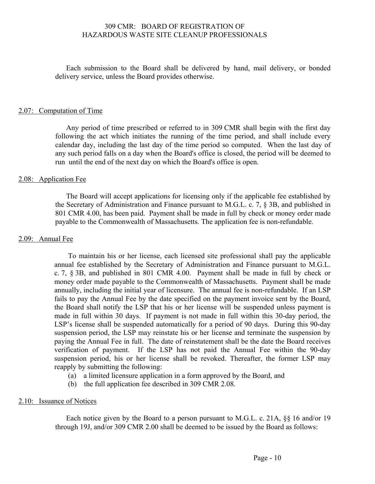Each submission to the Board shall be delivered by hand, mail delivery, or bonded delivery service, unless the Board provides otherwise.

#### 2.07: Computation of Time

Any period of time prescribed or referred to in 309 CMR shall begin with the first day following the act which initiates the running of the time period, and shall include every calendar day, including the last day of the time period so computed. When the last day of any such period falls on a day when the Board's office is closed, the period will be deemed to run until the end of the next day on which the Board's office is open.

#### 2.08: Application Fee

The Board will accept applications for licensing only if the applicable fee established by the Secretary of Administration and Finance pursuant to M.G.L. c. 7, § 3B, and published in 801 CMR 4.00, has been paid. Payment shall be made in full by check or money order made payable to the Commonwealth of Massachusetts. The application fee is non-refundable.

#### 2.09: Annual Fee

To maintain his or her license, each licensed site professional shall pay the applicable annual fee established by the Secretary of Administration and Finance pursuant to M.G.L. c. 7, § 3B, and published in 801 CMR 4.00. Payment shall be made in full by check or money order made payable to the Commonwealth of Massachusetts. Payment shall be made annually, including the initial year of licensure. The annual fee is non-refundable. If an LSP fails to pay the Annual Fee by the date specified on the payment invoice sent by the Board, the Board shall notify the LSP that his or her license will be suspended unless payment is made in full within 30 days. If payment is not made in full within this 30-day period, the LSP's license shall be suspended automatically for a period of 90 days. During this 90-day suspension period, the LSP may reinstate his or her license and terminate the suspension by paying the Annual Fee in full. The date of reinstatement shall be the date the Board receives verification of payment. If the LSP has not paid the Annual Fee within the 90-day suspension period, his or her license shall be revoked. Thereafter, the former LSP may reapply by submitting the following:

- (a) a limited licensure application in a form approved by the Board, and
- (b) the full application fee described in 309 CMR 2.08.

#### 2.10: Issuance of Notices

Each notice given by the Board to a person pursuant to M.G.L. c. 21A, §§ 16 and/or 19 through 19J, and/or 309 CMR 2.00 shall be deemed to be issued by the Board as follows: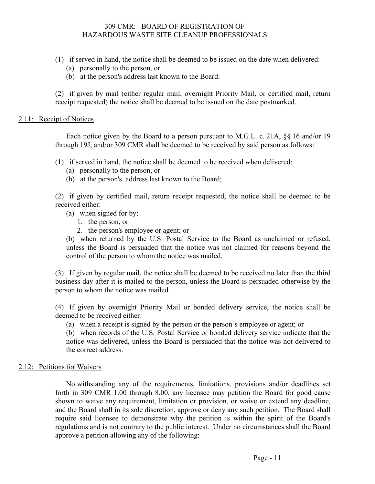- (1) if served in hand, the notice shall be deemed to be issued on the date when delivered:
	- (a) personally to the person, or
	- (b) at the person's address last known to the Board:

(2) if given by mail (either regular mail, overnight Priority Mail, or certified mail, return receipt requested) the notice shall be deemed to be issued on the date postmarked.

#### 2.11: Receipt of Notices

Each notice given by the Board to a person pursuant to M.G.L. c. 21A, §§ 16 and/or 19 through 19J, and/or 309 CMR shall be deemed to be received by said person as follows:

- (1) if served in hand, the notice shall be deemed to be received when delivered:
	- (a) personally to the person, or
	- (b) at the person's address last known to the Board;

(2) if given by certified mail, return receipt requested, the notice shall be deemed to be received either:

- (a) when signed for by:
	- 1. the person, or
	- 2. the person's employee or agent; or

(b) when returned by the U.S. Postal Service to the Board as unclaimed or refused, unless the Board is persuaded that the notice was not claimed for reasons beyond the control of the person to whom the notice was mailed.

(3) If given by regular mail, the notice shall be deemed to be received no later than the third business day after it is mailed to the person, unless the Board is persuaded otherwise by the person to whom the notice was mailed.

(4) If given by overnight Priority Mail or bonded delivery service, the notice shall be deemed to be received either:

(a) when a receipt is signed by the person or the person's employee or agent; or

(b) when records of the U.S. Postal Service or bonded delivery service indicate that the notice was delivered, unless the Board is persuaded that the notice was not delivered to the correct address.

#### 2.12: Petitions for Waivers

Notwithstanding any of the requirements, limitations, provisions and/or deadlines set forth in 309 CMR 1.00 through 8.00, any licensee may petition the Board for good cause shown to waive any requirement, limitation or provision, or waive or extend any deadline, and the Board shall in its sole discretion, approve or deny any such petition. The Board shall require said licensee to demonstrate why the petition is within the spirit of the Board's regulations and is not contrary to the public interest. Under no circumstances shall the Board approve a petition allowing any of the following: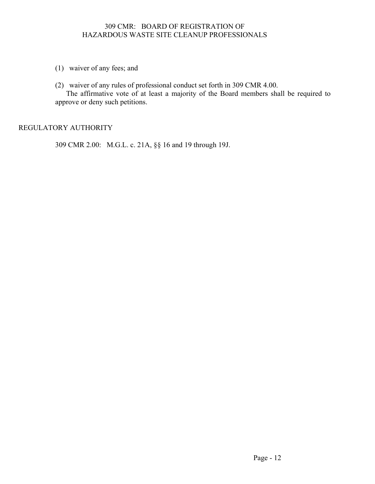- (1) waiver of any fees; and
- (2) waiver of any rules of professional conduct set forth in 309 CMR 4.00.

The affirmative vote of at least a majority of the Board members shall be required to approve or deny such petitions.

#### REGULATORY AUTHORITY

309 CMR 2.00: M.G.L. c. 21A, §§ 16 and 19 through 19J.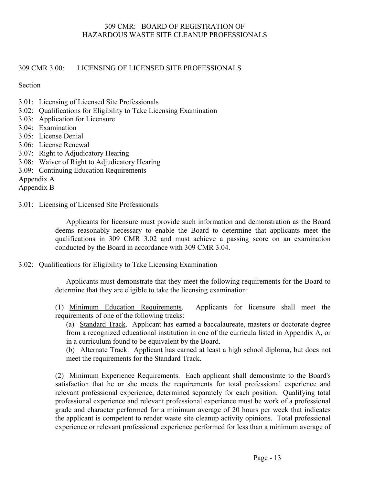309 CMR 3.00: LICENSING OF LICENSED SITE PROFESSIONALS

Section

- 3.01: Licensing of Licensed Site Professionals
- 3.02: Qualifications for Eligibility to Take Licensing Examination
- 3.03: Application for Licensure
- 3.04: Examination
- 3.05: License Denial
- 3.06: License Renewal
- 3.07: Right to Adjudicatory Hearing
- 3.08: Waiver of Right to Adjudicatory Hearing
- 3.09: Continuing Education Requirements

Appendix A

Appendix B

#### 3.01: Licensing of Licensed Site Professionals

Applicants for licensure must provide such information and demonstration as the Board deems reasonably necessary to enable the Board to determine that applicants meet the qualifications in 309 CMR 3.02 and must achieve a passing score on an examination conducted by the Board in accordance with 309 CMR 3.04.

#### 3.02: Qualifications for Eligibility to Take Licensing Examination

Applicants must demonstrate that they meet the following requirements for the Board to determine that they are eligible to take the licensing examination:

(1) Minimum Education Requirements. Applicants for licensure shall meet the requirements of one of the following tracks:

(a) Standard Track. Applicant has earned a baccalaureate, masters or doctorate degree from a recognized educational institution in one of the curricula listed in Appendix A, or in a curriculum found to be equivalent by the Board.

(b) Alternate Track. Applicant has earned at least a high school diploma, but does not meet the requirements for the Standard Track.

(2) Minimum Experience Requirements. Each applicant shall demonstrate to the Board's satisfaction that he or she meets the requirements for total professional experience and relevant professional experience, determined separately for each position. Qualifying total professional experience and relevant professional experience must be work of a professional grade and character performed for a minimum average of 20 hours per week that indicates the applicant is competent to render waste site cleanup activity opinions. Total professional experience or relevant professional experience performed for less than a minimum average of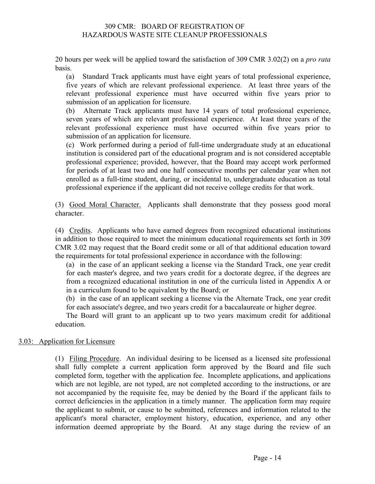20 hours per week will be applied toward the satisfaction of 309 CMR 3.02(2) on a *pro rata* basis.

(a) Standard Track applicants must have eight years of total professional experience, five years of which are relevant professional experience. At least three years of the relevant professional experience must have occurred within five years prior to submission of an application for licensure.

(b) Alternate Track applicants must have 14 years of total professional experience, seven years of which are relevant professional experience. At least three years of the relevant professional experience must have occurred within five years prior to submission of an application for licensure.

(c) Work performed during a period of full-time undergraduate study at an educational institution is considered part of the educational program and is not considered acceptable professional experience; provided, however, that the Board may accept work performed for periods of at least two and one half consecutive months per calendar year when not enrolled as a full-time student, during, or incidental to, undergraduate education as total professional experience if the applicant did not receive college credits for that work.

(3) Good Moral Character. Applicants shall demonstrate that they possess good moral character.

(4) Credits. Applicants who have earned degrees from recognized educational institutions in addition to those required to meet the minimum educational requirements set forth in 309 CMR 3.02 may request that the Board credit some or all of that additional education toward the requirements for total professional experience in accordance with the following:

(a) in the case of an applicant seeking a license via the Standard Track, one year credit for each master's degree, and two years credit for a doctorate degree, if the degrees are from a recognized educational institution in one of the curricula listed in Appendix A or in a curriculum found to be equivalent by the Board; or

(b) in the case of an applicant seeking a license via the Alternate Track, one year credit for each associate's degree, and two years credit for a baccalaureate or higher degree.

The Board will grant to an applicant up to two years maximum credit for additional education.

#### 3.03: Application for Licensure

(1) Filing Procedure. An individual desiring to be licensed as a licensed site professional shall fully complete a current application form approved by the Board and file such completed form, together with the application fee. Incomplete applications, and applications which are not legible, are not typed, are not completed according to the instructions, or are not accompanied by the requisite fee, may be denied by the Board if the applicant fails to correct deficiencies in the application in a timely manner. The application form may require the applicant to submit, or cause to be submitted, references and information related to the applicant's moral character, employment history, education, experience, and any other information deemed appropriate by the Board. At any stage during the review of an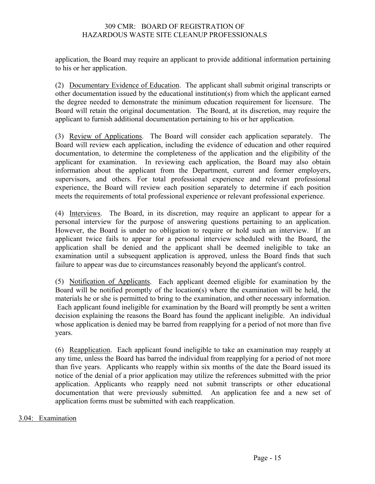application, the Board may require an applicant to provide additional information pertaining to his or her application.

(2) Documentary Evidence of Education. The applicant shall submit original transcripts or other documentation issued by the educational institution(s) from which the applicant earned the degree needed to demonstrate the minimum education requirement for licensure. The Board will retain the original documentation. The Board, at its discretion, may require the applicant to furnish additional documentation pertaining to his or her application.

(3) Review of Applications. The Board will consider each application separately. The Board will review each application, including the evidence of education and other required documentation, to determine the completeness of the application and the eligibility of the applicant for examination. In reviewing each application, the Board may also obtain information about the applicant from the Department, current and former employers, supervisors, and others. For total professional experience and relevant professional experience, the Board will review each position separately to determine if each position meets the requirements of total professional experience or relevant professional experience.

(4) Interviews. The Board, in its discretion, may require an applicant to appear for a personal interview for the purpose of answering questions pertaining to an application. However, the Board is under no obligation to require or hold such an interview. If an applicant twice fails to appear for a personal interview scheduled with the Board, the application shall be denied and the applicant shall be deemed ineligible to take an examination until a subsequent application is approved, unless the Board finds that such failure to appear was due to circumstances reasonably beyond the applicant's control.

(5) Notification of Applicants. Each applicant deemed eligible for examination by the Board will be notified promptly of the location(s) where the examination will be held, the materials he or she is permitted to bring to the examination, and other necessary information. Each applicant found ineligible for examination by the Board will promptly be sent a written decision explaining the reasons the Board has found the applicant ineligible. An individual whose application is denied may be barred from reapplying for a period of not more than five years.

(6) Reapplication. Each applicant found ineligible to take an examination may reapply at any time, unless the Board has barred the individual from reapplying for a period of not more than five years. Applicants who reapply within six months of the date the Board issued its notice of the denial of a prior application may utilize the references submitted with the prior application. Applicants who reapply need not submit transcripts or other educational documentation that were previously submitted. An application fee and a new set of application forms must be submitted with each reapplication.

#### 3.04: Examination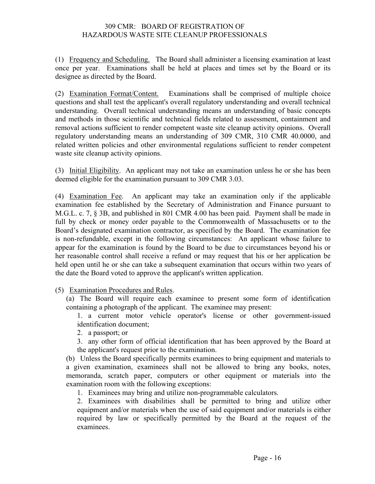(1) Frequency and Scheduling. The Board shall administer a licensing examination at least once per year. Examinations shall be held at places and times set by the Board or its designee as directed by the Board.

(2) Examination Format/Content. Examinations shall be comprised of multiple choice questions and shall test the applicant's overall regulatory understanding and overall technical understanding. Overall technical understanding means an understanding of basic concepts and methods in those scientific and technical fields related to assessment, containment and removal actions sufficient to render competent waste site cleanup activity opinions. Overall regulatory understanding means an understanding of 309 CMR, 310 CMR 40.0000, and related written policies and other environmental regulations sufficient to render competent waste site cleanup activity opinions.

(3) Initial Eligibility. An applicant may not take an examination unless he or she has been deemed eligible for the examination pursuant to 309 CMR 3.03.

(4) Examination Fee. An applicant may take an examination only if the applicable examination fee established by the Secretary of Administration and Finance pursuant to M.G.L. c. 7, § 3B, and published in 801 CMR 4.00 has been paid. Payment shall be made in full by check or money order payable to the Commonwealth of Massachusetts or to the Board's designated examination contractor, as specified by the Board. The examination fee is non-refundable, except in the following circumstances: An applicant whose failure to appear for the examination is found by the Board to be due to circumstances beyond his or her reasonable control shall receive a refund or may request that his or her application be held open until he or she can take a subsequent examination that occurs within two years of the date the Board voted to approve the applicant's written application.

(5) Examination Procedures and Rules.

(a) The Board will require each examinee to present some form of identification containing a photograph of the applicant. The examinee may present:

1. a current motor vehicle operator's license or other government-issued identification document;

2. a passport; or

3. any other form of official identification that has been approved by the Board at the applicant's request prior to the examination.

(b) Unless the Board specifically permits examinees to bring equipment and materials to a given examination, examinees shall not be allowed to bring any books, notes, memoranda, scratch paper, computers or other equipment or materials into the examination room with the following exceptions:

1. Examinees may bring and utilize non-programmable calculators.

2. Examinees with disabilities shall be permitted to bring and utilize other equipment and/or materials when the use of said equipment and/or materials is either required by law or specifically permitted by the Board at the request of the examinees.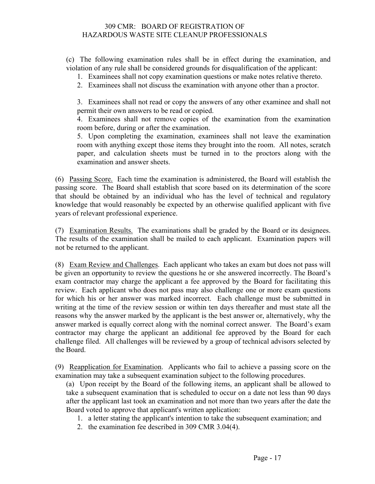(c) The following examination rules shall be in effect during the examination, and violation of any rule shall be considered grounds for disqualification of the applicant:

- 1. Examinees shall not copy examination questions or make notes relative thereto.
- 2. Examinees shall not discuss the examination with anyone other than a proctor.

3. Examinees shall not read or copy the answers of any other examinee and shall not permit their own answers to be read or copied.

4. Examinees shall not remove copies of the examination from the examination room before, during or after the examination.

5. Upon completing the examination, examinees shall not leave the examination room with anything except those items they brought into the room. All notes, scratch paper, and calculation sheets must be turned in to the proctors along with the examination and answer sheets.

(6) Passing Score. Each time the examination is administered, the Board will establish the passing score. The Board shall establish that score based on its determination of the score that should be obtained by an individual who has the level of technical and regulatory knowledge that would reasonably be expected by an otherwise qualified applicant with five years of relevant professional experience.

(7) Examination Results. The examinations shall be graded by the Board or its designees. The results of the examination shall be mailed to each applicant. Examination papers will not be returned to the applicant.

(8) Exam Review and Challenges. Each applicant who takes an exam but does not pass will be given an opportunity to review the questions he or she answered incorrectly. The Board's exam contractor may charge the applicant a fee approved by the Board for facilitating this review. Each applicant who does not pass may also challenge one or more exam questions for which his or her answer was marked incorrect. Each challenge must be submitted in writing at the time of the review session or within ten days thereafter and must state all the reasons why the answer marked by the applicant is the best answer or, alternatively, why the answer marked is equally correct along with the nominal correct answer. The Board's exam contractor may charge the applicant an additional fee approved by the Board for each challenge filed. All challenges will be reviewed by a group of technical advisors selected by the Board.

(9) Reapplication for Examination. Applicants who fail to achieve a passing score on the examination may take a subsequent examination subject to the following procedures.

(a) Upon receipt by the Board of the following items, an applicant shall be allowed to take a subsequent examination that is scheduled to occur on a date not less than 90 days after the applicant last took an examination and not more than two years after the date the Board voted to approve that applicant's written application:

- 1. a letter stating the applicant's intention to take the subsequent examination; and
- 2. the examination fee described in 309 CMR 3.04(4).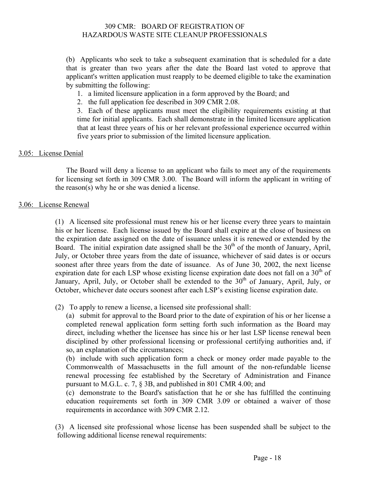(b) Applicants who seek to take a subsequent examination that is scheduled for a date that is greater than two years after the date the Board last voted to approve that applicant's written application must reapply to be deemed eligible to take the examination by submitting the following:

1. a limited licensure application in a form approved by the Board; and

2. the full application fee described in 309 CMR 2.08.

3. Each of these applicants must meet the eligibility requirements existing at that time for initial applicants. Each shall demonstrate in the limited licensure application that at least three years of his or her relevant professional experience occurred within five years prior to submission of the limited licensure application.

#### 3.05: License Denial

The Board will deny a license to an applicant who fails to meet any of the requirements for licensing set forth in 309 CMR 3.00. The Board will inform the applicant in writing of the reason(s) why he or she was denied a license.

#### 3.06: License Renewal

(1) A licensed site professional must renew his or her license every three years to maintain his or her license. Each license issued by the Board shall expire at the close of business on the expiration date assigned on the date of issuance unless it is renewed or extended by the Board. The initial expiration date assigned shall be the  $30<sup>th</sup>$  of the month of January, April, July, or October three years from the date of issuance, whichever of said dates is or occurs soonest after three years from the date of issuance. As of June 30, 2002, the next license expiration date for each LSP whose existing license expiration date does not fall on a  $30<sup>th</sup>$  of January, April, July, or October shall be extended to the  $30<sup>th</sup>$  of January, April, July, or October, whichever date occurs soonest after each LSP's existing license expiration date.

(2) To apply to renew a license, a licensed site professional shall:

(a) submit for approval to the Board prior to the date of expiration of his or her license a completed renewal application form setting forth such information as the Board may direct, including whether the licensee has since his or her last LSP license renewal been disciplined by other professional licensing or professional certifying authorities and, if so, an explanation of the circumstances;

(b) include with such application form a check or money order made payable to the Commonwealth of Massachusetts in the full amount of the non-refundable license renewal processing fee established by the Secretary of Administration and Finance pursuant to M.G.L. c. 7, § 3B, and published in 801 CMR 4.00; and

(c) demonstrate to the Board's satisfaction that he or she has fulfilled the continuing education requirements set forth in 309 CMR 3.09 or obtained a waiver of those requirements in accordance with 309 CMR 2.12.

(3) A licensed site professional whose license has been suspended shall be subject to the following additional license renewal requirements: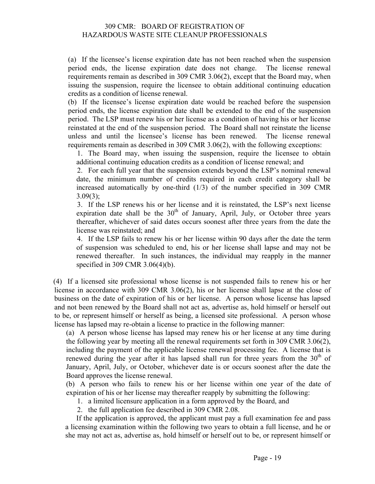(a) If the licensee's license expiration date has not been reached when the suspension period ends, the license expiration date does not change. The license renewal requirements remain as described in 309 CMR 3.06(2), except that the Board may, when issuing the suspension, require the licensee to obtain additional continuing education credits as a condition of license renewal.

(b) If the licensee's license expiration date would be reached before the suspension period ends, the license expiration date shall be extended to the end of the suspension period. The LSP must renew his or her license as a condition of having his or her license reinstated at the end of the suspension period. The Board shall not reinstate the license unless and until the licensee's license has been renewed. The license renewal requirements remain as described in 309 CMR 3.06(2), with the following exceptions:

1. The Board may, when issuing the suspension, require the licensee to obtain additional continuing education credits as a condition of license renewal; and

2. For each full year that the suspension extends beyond the LSP's nominal renewal date, the minimum number of credits required in each credit category shall be increased automatically by one-third (1/3) of the number specified in 309 CMR  $3.09(3)$ ;

3. If the LSP renews his or her license and it is reinstated, the LSP's next license expiration date shall be the  $30<sup>th</sup>$  of January, April, July, or October three years thereafter, whichever of said dates occurs soonest after three years from the date the license was reinstated; and

4. If the LSP fails to renew his or her license within 90 days after the date the term of suspension was scheduled to end, his or her license shall lapse and may not be renewed thereafter. In such instances, the individual may reapply in the manner specified in 309 CMR 3.06(4)(b).

(4) If a licensed site professional whose license is not suspended fails to renew his or her license in accordance with 309 CMR 3.06(2), his or her license shall lapse at the close of business on the date of expiration of his or her license. A person whose license has lapsed and not been renewed by the Board shall not act as, advertise as, hold himself or herself out to be, or represent himself or herself as being, a licensed site professional. A person whose license has lapsed may re-obtain a license to practice in the following manner:

(a) A person whose license has lapsed may renew his or her license at any time during the following year by meeting all the renewal requirements set forth in 309 CMR 3.06(2), including the payment of the applicable license renewal processing fee. A license that is renewed during the year after it has lapsed shall run for three years from the  $30<sup>th</sup>$  of January, April, July, or October, whichever date is or occurs soonest after the date the Board approves the license renewal.

(b) A person who fails to renew his or her license within one year of the date of expiration of his or her license may thereafter reapply by submitting the following:

1. a limited licensure application in a form approved by the Board, and

2. the full application fee described in 309 CMR 2.08.

If the application is approved, the applicant must pay a full examination fee and pass a licensing examination within the following two years to obtain a full license, and he or she may not act as, advertise as, hold himself or herself out to be, or represent himself or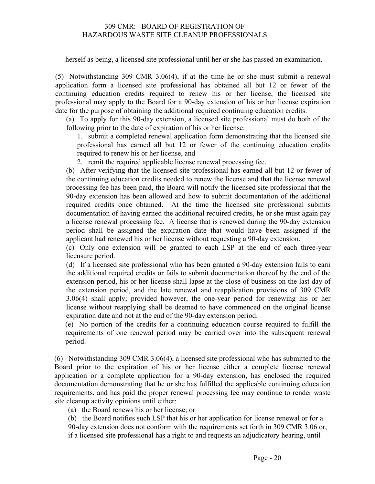herself as being, a licensed site professional until her or she has passed an examination.

(5) Notwithstanding 309 CMR 3.06(4), if at the time he or she must submit a renewal application form a licensed site professional has obtained all but 12 or fewer of the continuing education credits required to renew his or her license, the licensed site professional may apply to the Board for a 90-day extension of his or her license expiration date for the purpose of obtaining the additional required continuing education credits.

(a) To apply for this 90-day extension, a licensed site professional must do both of the following prior to the date of expiration of his or her license:

1. submit a completed renewal application form demonstrating that the licensed site professional has earned all but 12 or fewer of the continuing education credits required to renew his or her license, and

2. remit the required applicable license renewal processing fee.

(b) After verifying that the licensed site professional has earned all but 12 or fewer of the continuing education credits needed to renew the license and that the license renewal processing fee has been paid, the Board will notify the licensed site professional that the 90-day extension has been allowed and how to submit documentation of the additional required credits once obtained. At the time the licensed site professional submits documentation of having earned the additional required credits, he or she must again pay a license renewal processing fee. A license that is renewed during the 90-day extension period shall be assigned the expiration date that would have been assigned if the applicant had renewed his or her license without requesting a 90-day extension.

(c) Only one extension will be granted to each LSP at the end of each three-year licensure period.

(d) If a licensed site professional who has been granted a 90-day extension fails to earn the additional required credits or fails to submit documentation thereof by the end of the extension period, his or her license shall lapse at the close of business on the last day of the extension period, and the late renewal and reapplication provisions of 309 CMR 3.06(4) shall apply; provided however, the one-year period for renewing his or her license without reapplying shall be deemed to have commenced on the original license expiration date and not at the end of the 90-day extension period.

(e) No portion of the credits for a continuing education course required to fulfill the requirements of one renewal period may be carried over into the subsequent renewal period.

(6) Notwithstanding 309 CMR 3.06(4), a licensed site professional who has submitted to the Board prior to the expiration of his or her license either a complete license renewal application or a complete application for a 90-day extension, has enclosed the required documentation demonstrating that he or she has fulfilled the applicable continuing education requirements, and has paid the proper renewal processing fee may continue to render waste site cleanup activity opinions until either:

(a) the Board renews his or her license; or

(b) the Board notifies such LSP that his or her application for license renewal or for a 90-day extension does not conform with the requirements set forth in 309 CMR 3.06 or, if a licensed site professional has a right to and requests an adjudicatory hearing, until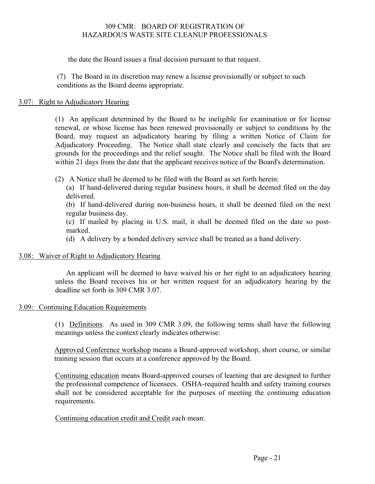the date the Board issues a final decision pursuant to that request.

(7) The Board in its discretion may renew a license provisionally or subject to such conditions as the Board deems appropriate.

#### 3.07: Right to Adjudicatory Hearing

(1) An applicant determined by the Board to be ineligible for examination or for license renewal, or whose license has been renewed provisionally or subject to conditions by the Board, may request an adjudicatory hearing by filing a written Notice of Claim for Adjudicatory Proceeding. The Notice shall state clearly and concisely the facts that are grounds for the proceedings and the relief sought. The Notice shall be filed with the Board within 21 days from the date that the applicant receives notice of the Board's determination.

(2) A Notice shall be deemed to be filed with the Board as set forth herein:

(a) If hand-delivered during regular business hours, it shall be deemed filed on the day delivered.

(b) If hand-delivered during non-business hours, it shall be deemed filed on the next regular business day.

(c) If mailed by placing in U.S. mail, it shall be deemed filed on the date so postmarked.

(d) A delivery by a bonded delivery service shall be treated as a hand delivery.

#### 3.08: Waiver of Right to Adjudicatory Hearing

An applicant will be deemed to have waived his or her right to an adjudicatory hearing unless the Board receives his or her written request for an adjudicatory hearing by the deadline set forth in 309 CMR 3.07.

#### 3.09: Continuing Education Requirements

(1) Definitions. As used in 309 CMR 3.09, the following terms shall have the following meanings unless the context clearly indicates otherwise:

Approved Conference workshop means a Board-approved workshop, short course, or similar training session that occurs at a conference approved by the Board.

Continuing education means Board-approved courses of learning that are designed to further the professional competence of licensees. OSHA-required health and safety training courses shall not be considered acceptable for the purposes of meeting the continuing education requirements.

Continuing education credit and Credit each mean: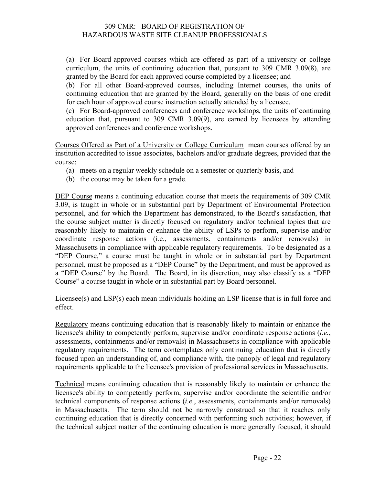(a) For Board-approved courses which are offered as part of a university or college curriculum, the units of continuing education that, pursuant to 309 CMR 3.09(8), are granted by the Board for each approved course completed by a licensee; and

(b) For all other Board-approved courses, including Internet courses, the units of continuing education that are granted by the Board, generally on the basis of one credit for each hour of approved course instruction actually attended by a licensee.

(c) For Board-approved conferences and conference workshops, the units of continuing education that, pursuant to 309 CMR 3.09(9), are earned by licensees by attending approved conferences and conference workshops.

Courses Offered as Part of a University or College Curriculum mean courses offered by an institution accredited to issue associates, bachelors and/or graduate degrees, provided that the course:

- (a) meets on a regular weekly schedule on a semester or quarterly basis, and
- (b) the course may be taken for a grade.

DEP Course means a continuing education course that meets the requirements of 309 CMR 3.09, is taught in whole or in substantial part by Department of Environmental Protection personnel, and for which the Department has demonstrated, to the Board's satisfaction, that the course subject matter is directly focused on regulatory and/or technical topics that are reasonably likely to maintain or enhance the ability of LSPs to perform, supervise and/or coordinate response actions (i.e., assessments, containments and/or removals) in Massachusetts in compliance with applicable regulatory requirements. To be designated as a "DEP Course," a course must be taught in whole or in substantial part by Department personnel, must be proposed as a "DEP Course" by the Department, and must be approved as a "DEP Course" by the Board. The Board, in its discretion, may also classify as a "DEP Course" a course taught in whole or in substantial part by Board personnel.

Licensee(s) and LSP(s) each mean individuals holding an LSP license that is in full force and effect.

Regulatory means continuing education that is reasonably likely to maintain or enhance the licensee's ability to competently perform, supervise and/or coordinate response actions (*i.e.*, assessments, containments and/or removals) in Massachusetts in compliance with applicable regulatory requirements. The term contemplates only continuing education that is directly focused upon an understanding of, and compliance with, the panoply of legal and regulatory requirements applicable to the licensee's provision of professional services in Massachusetts.

Technical means continuing education that is reasonably likely to maintain or enhance the licensee's ability to competently perform, supervise and/or coordinate the scientific and/or technical components of response actions (*i.e.*, assessments, containments and/or removals) in Massachusetts. The term should not be narrowly construed so that it reaches only continuing education that is directly concerned with performing such activities; however, if the technical subject matter of the continuing education is more generally focused, it should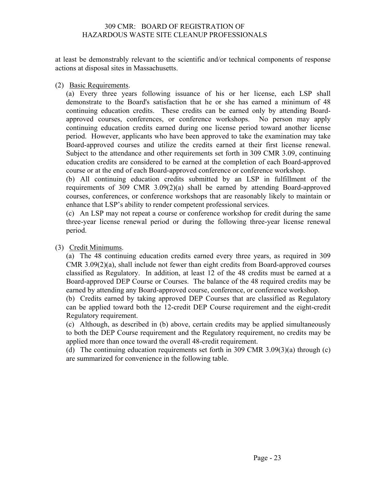at least be demonstrably relevant to the scientific and/or technical components of response actions at disposal sites in Massachusetts.

(2) Basic Requirements.

(a) Every three years following issuance of his or her license, each LSP shall demonstrate to the Board's satisfaction that he or she has earned a minimum of 48 continuing education credits. These credits can be earned only by attending Boardapproved courses, conferences, or conference workshops. No person may apply continuing education credits earned during one license period toward another license period. However, applicants who have been approved to take the examination may take Board-approved courses and utilize the credits earned at their first license renewal. Subject to the attendance and other requirements set forth in 309 CMR 3.09, continuing education credits are considered to be earned at the completion of each Board-approved course or at the end of each Board-approved conference or conference workshop.

(b) All continuing education credits submitted by an LSP in fulfillment of the requirements of 309 CMR 3.09(2)(a) shall be earned by attending Board-approved courses, conferences, or conference workshops that are reasonably likely to maintain or enhance that LSP's ability to render competent professional services.

(c) An LSP may not repeat a course or conference workshop for credit during the same three-year license renewal period or during the following three-year license renewal period.

(3) Credit Minimums.

(a) The 48 continuing education credits earned every three years, as required in 309 CMR 3.09(2)(a), shall include not fewer than eight credits from Board-approved courses classified as Regulatory. In addition, at least 12 of the 48 credits must be earned at a Board-approved DEP Course or Courses. The balance of the 48 required credits may be earned by attending any Board-approved course, conference, or conference workshop.

(b) Credits earned by taking approved DEP Courses that are classified as Regulatory can be applied toward both the 12-credit DEP Course requirement and the eight-credit Regulatory requirement.

(c) Although, as described in (b) above, certain credits may be applied simultaneously to both the DEP Course requirement and the Regulatory requirement, no credits may be applied more than once toward the overall 48-credit requirement.

(d) The continuing education requirements set forth in 309 CMR 3.09(3)(a) through (c) are summarized for convenience in the following table.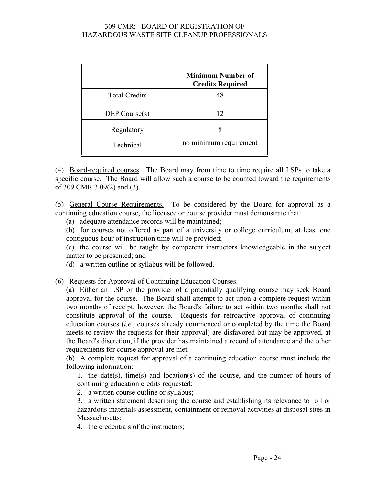|                      | <b>Minimum Number of</b><br><b>Credits Required</b> |
|----------------------|-----------------------------------------------------|
| <b>Total Credits</b> | 48                                                  |
| DEP Course(s)        | 12                                                  |
| Regulatory           |                                                     |
| Technical            | no minimum requirement                              |

(4) Board-required courses. The Board may from time to time require all LSPs to take a specific course. The Board will allow such a course to be counted toward the requirements of 309 CMR 3.09(2) and (3).

(5) General Course Requirements. To be considered by the Board for approval as a continuing education course, the licensee or course provider must demonstrate that:

(a) adequate attendance records will be maintained;

(b) for courses not offered as part of a university or college curriculum, at least one contiguous hour of instruction time will be provided;

(c) the course will be taught by competent instructors knowledgeable in the subject matter to be presented; and

(d) a written outline or syllabus will be followed.

(6) Requests for Approval of Continuing Education Courses.

(a) Either an LSP or the provider of a potentially qualifying course may seek Board approval for the course. The Board shall attempt to act upon a complete request within two months of receipt; however, the Board's failure to act within two months shall not constitute approval of the course. Requests for retroactive approval of continuing education courses (*i.e.*, courses already commenced or completed by the time the Board meets to review the requests for their approval) are disfavored but may be approved, at the Board's discretion, if the provider has maintained a record of attendance and the other requirements for course approval are met.

(b) A complete request for approval of a continuing education course must include the following information:

1. the date(s), time(s) and location(s) of the course, and the number of hours of continuing education credits requested;

2. a written course outline or syllabus;

3. a written statement describing the course and establishing its relevance to oil or hazardous materials assessment, containment or removal activities at disposal sites in Massachusetts:

4. the credentials of the instructors;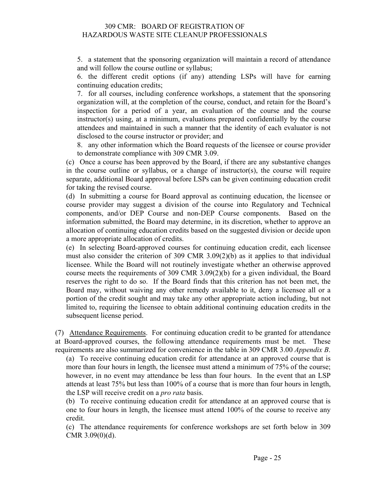5. a statement that the sponsoring organization will maintain a record of attendance and will follow the course outline or syllabus;

6. the different credit options (if any) attending LSPs will have for earning continuing education credits;

7. for all courses, including conference workshops, a statement that the sponsoring organization will, at the completion of the course, conduct, and retain for the Board's inspection for a period of a year, an evaluation of the course and the course instructor(s) using, at a minimum, evaluations prepared confidentially by the course attendees and maintained in such a manner that the identity of each evaluator is not disclosed to the course instructor or provider; and

8. any other information which the Board requests of the licensee or course provider to demonstrate compliance with 309 CMR 3.09.

(c) Once a course has been approved by the Board, if there are any substantive changes in the course outline or syllabus, or a change of instructor(s), the course will require separate, additional Board approval before LSPs can be given continuing education credit for taking the revised course.

(d) In submitting a course for Board approval as continuing education, the licensee or course provider may suggest a division of the course into Regulatory and Technical components, and/or DEP Course and non-DEP Course components. Based on the information submitted, the Board may determine, in its discretion, whether to approve an allocation of continuing education credits based on the suggested division or decide upon a more appropriate allocation of credits.

(e) In selecting Board-approved courses for continuing education credit, each licensee must also consider the criterion of 309 CMR 3.09(2)(b) as it applies to that individual licensee. While the Board will not routinely investigate whether an otherwise approved course meets the requirements of 309 CMR 3.09(2)(b) for a given individual, the Board reserves the right to do so. If the Board finds that this criterion has not been met, the Board may, without waiving any other remedy available to it, deny a licensee all or a portion of the credit sought and may take any other appropriate action including, but not limited to, requiring the licensee to obtain additional continuing education credits in the subsequent license period.

(7) Attendance Requirements. For continuing education credit to be granted for attendance at Board-approved courses, the following attendance requirements must be met. These requirements are also summarized for convenience in the table in 309 CMR 3.00 *Appendix B*.

(a) To receive continuing education credit for attendance at an approved course that is more than four hours in length, the licensee must attend a minimum of 75% of the course; however, in no event may attendance be less than four hours. In the event that an LSP attends at least 75% but less than 100% of a course that is more than four hours in length, the LSP will receive credit on a *pro rata* basis.

(b) To receive continuing education credit for attendance at an approved course that is one to four hours in length, the licensee must attend 100% of the course to receive any credit.

(c) The attendance requirements for conference workshops are set forth below in 309 CMR 3.09(0)(d).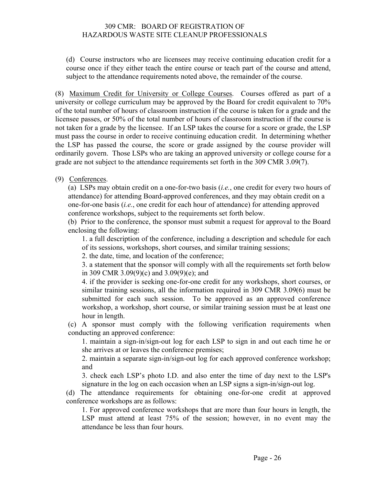(d) Course instructors who are licensees may receive continuing education credit for a course once if they either teach the entire course or teach part of the course and attend, subject to the attendance requirements noted above, the remainder of the course.

(8) Maximum Credit for University or College Courses. Courses offered as part of a university or college curriculum may be approved by the Board for credit equivalent to 70% of the total number of hours of classroom instruction if the course is taken for a grade and the licensee passes, or 50% of the total number of hours of classroom instruction if the course is not taken for a grade by the licensee. If an LSP takes the course for a score or grade, the LSP must pass the course in order to receive continuing education credit. In determining whether the LSP has passed the course, the score or grade assigned by the course provider will ordinarily govern. Those LSPs who are taking an approved university or college course for a grade are not subject to the attendance requirements set forth in the 309 CMR 3.09(7).

(9) Conferences.

(a) LSPs may obtain credit on a one-for-two basis (*i.e.*, one credit for every two hours of attendance) for attending Board-approved conferences, and they may obtain credit on a one-for-one basis (*i.e.*, one credit for each hour of attendance) for attending approved conference workshops, subject to the requirements set forth below.

(b) Prior to the conference, the sponsor must submit a request for approval to the Board enclosing the following:

1. a full description of the conference, including a description and schedule for each of its sessions, workshops, short courses, and similar training sessions;

2. the date, time, and location of the conference;

3. a statement that the sponsor will comply with all the requirements set forth below in 309 CMR 3.09(9)(c) and 3.09(9)(e); and

4. if the provider is seeking one-for-one credit for any workshops, short courses, or similar training sessions, all the information required in 309 CMR 3.09(6) must be submitted for each such session. To be approved as an approved conference workshop, a workshop, short course, or similar training session must be at least one hour in length.

(c) A sponsor must comply with the following verification requirements when conducting an approved conference:

1. maintain a sign-in/sign-out log for each LSP to sign in and out each time he or she arrives at or leaves the conference premises;

2. maintain a separate sign-in/sign-out log for each approved conference workshop; and

3. check each LSP's photo I.D. and also enter the time of day next to the LSP's signature in the log on each occasion when an LSP signs a sign-in/sign-out log.

(d) The attendance requirements for obtaining one-for-one credit at approved conference workshops are as follows:

1. For approved conference workshops that are more than four hours in length, the LSP must attend at least 75% of the session; however, in no event may the attendance be less than four hours.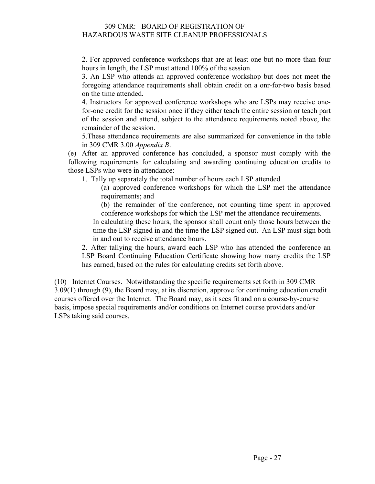2. For approved conference workshops that are at least one but no more than four hours in length, the LSP must attend 100% of the session.

3. An LSP who attends an approved conference workshop but does not meet the foregoing attendance requirements shall obtain credit on a onr-for-two basis based on the time attended.

4. Instructors for approved conference workshops who are LSPs may receive onefor-one credit for the session once if they either teach the entire session or teach part of the session and attend, subject to the attendance requirements noted above, the remainder of the session.

5.These attendance requirements are also summarized for convenience in the table in 309 CMR 3.00 *Appendix B*.

(e) After an approved conference has concluded, a sponsor must comply with the following requirements for calculating and awarding continuing education credits to those LSPs who were in attendance:

1. Tally up separately the total number of hours each LSP attended

(a) approved conference workshops for which the LSP met the attendance requirements; and

(b) the remainder of the conference, not counting time spent in approved conference workshops for which the LSP met the attendance requirements.

In calculating these hours, the sponsor shall count only those hours between the time the LSP signed in and the time the LSP signed out. An LSP must sign both in and out to receive attendance hours.

2. After tallying the hours, award each LSP who has attended the conference an LSP Board Continuing Education Certificate showing how many credits the LSP has earned, based on the rules for calculating credits set forth above.

(10) Internet Courses. Notwithstanding the specific requirements set forth in 309 CMR 3.09(1) through (9), the Board may, at its discretion, approve for continuing education credit courses offered over the Internet. The Board may, as it sees fit and on a course-by-course basis, impose special requirements and/or conditions on Internet course providers and/or LSPs taking said courses.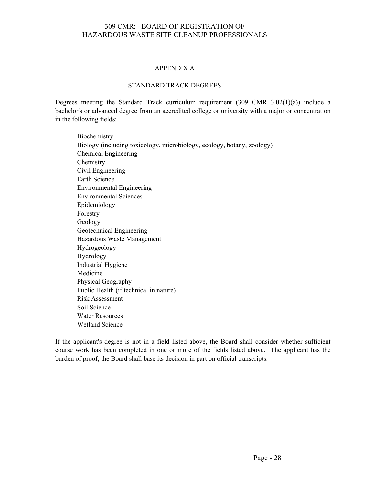#### APPENDIX A

#### STANDARD TRACK DEGREES

Degrees meeting the Standard Track curriculum requirement  $(309 \text{ CMR } 3.02(1)(a))$  include a bachelor's or advanced degree from an accredited college or university with a major or concentration in the following fields:

**Biochemistry** Biology (including toxicology, microbiology, ecology, botany, zoology) Chemical Engineering Chemistry Civil Engineering Earth Science Environmental Engineering Environmental Sciences Epidemiology Forestry Geology Geotechnical Engineering Hazardous Waste Management Hydrogeology Hydrology Industrial Hygiene Medicine Physical Geography Public Health (if technical in nature) Risk Assessment Soil Science Water Resources Wetland Science

If the applicant's degree is not in a field listed above, the Board shall consider whether sufficient course work has been completed in one or more of the fields listed above. The applicant has the burden of proof; the Board shall base its decision in part on official transcripts.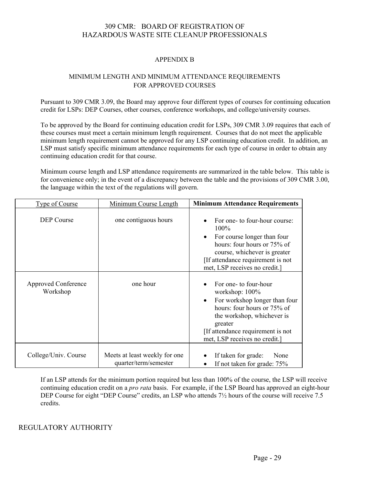#### APPENDIX B

#### MINIMUM LENGTH AND MINIMUM ATTENDANCE REQUIREMENTS FOR APPROVED COURSES

Pursuant to 309 CMR 3.09, the Board may approve four different types of courses for continuing education credit for LSPs: DEP Courses, other courses, conference workshops, and college/university courses.

To be approved by the Board for continuing education credit for LSPs, 309 CMR 3.09 requires that each of these courses must meet a certain minimum length requirement. Courses that do not meet the applicable minimum length requirement cannot be approved for any LSP continuing education credit. In addition, an LSP must satisfy specific minimum attendance requirements for each type of course in order to obtain any continuing education credit for that course.

Minimum course length and LSP attendance requirements are summarized in the table below. This table is for convenience only; in the event of a discrepancy between the table and the provisions of 309 CMR 3.00, the language within the text of the regulations will govern.

| <b>Type of Course</b>                  | Minimum Course Length                                  | <b>Minimum Attendance Requirements</b>                                                                                                                                                                                             |
|----------------------------------------|--------------------------------------------------------|------------------------------------------------------------------------------------------------------------------------------------------------------------------------------------------------------------------------------------|
| <b>DEP</b> Course                      | one contiguous hours                                   | For one- to four-hour course:<br>100%<br>For course longer than four<br>hours: four hours or 75% of<br>course, whichever is greater<br>[If attendance requirement is not<br>met, LSP receives no credit.]                          |
| <b>Approved Conference</b><br>Workshop | one hour                                               | For one- to four-hour<br>workshop: 100%<br>For workshop longer than four<br>$\bullet$<br>hours: four hours or 75% of<br>the workshop, whichever is<br>greater<br>If attendance requirement is not<br>met, LSP receives no credit.] |
| College/Univ. Course                   | Meets at least weekly for one<br>quarter/term/semester | If taken for grade:<br>None<br>If not taken for grade: 75%                                                                                                                                                                         |

If an LSP attends for the minimum portion required but less than 100% of the course, the LSP will receive continuing education credit on a *pro rata* basis. For example, if the LSP Board has approved an eight-hour DEP Course for eight "DEP Course" credits, an LSP who attends 7<sup>1</sup>/<sub>2</sub> hours of the course will receive 7.5 credits.

REGULATORY AUTHORITY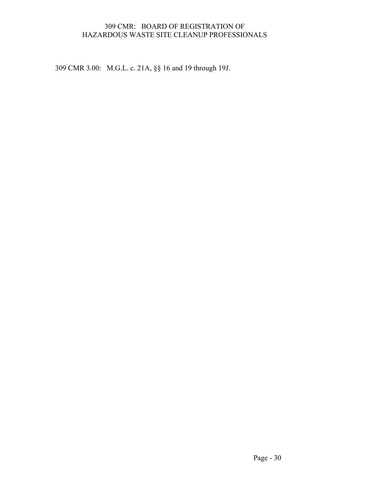309 CMR 3.00: M.G.L. c. 21A, §§ 16 and 19 through 19J.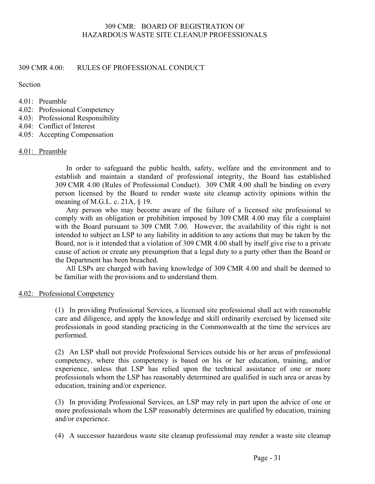#### 309 CMR 4.00: RULES OF PROFESSIONAL CONDUCT

Section

- 4.01: Preamble
- 4.02: Professional Competency
- 4.03: Professional Responsibility
- 4.04: Conflict of Interest
- 4.05: Accepting Compensation

#### 4.01: Preamble

In order to safeguard the public health, safety, welfare and the environment and to establish and maintain a standard of professional integrity, the Board has established 309 CMR 4.00 (Rules of Professional Conduct). 309 CMR 4.00 shall be binding on every person licensed by the Board to render waste site cleanup activity opinions within the meaning of M.G.L. c. 21A, § 19.

Any person who may become aware of the failure of a licensed site professional to comply with an obligation or prohibition imposed by 309 CMR 4.00 may file a complaint with the Board pursuant to 309 CMR 7.00. However, the availability of this right is not intended to subject an LSP to any liability in addition to any actions that may be taken by the Board, nor is it intended that a violation of 309 CMR 4.00 shall by itself give rise to a private cause of action or create any presumption that a legal duty to a party other than the Board or the Department has been breached.

All LSPs are charged with having knowledge of 309 CMR 4.00 and shall be deemed to be familiar with the provisions and to understand them.

4.02: Professional Competency

(1) In providing Professional Services, a licensed site professional shall act with reasonable care and diligence, and apply the knowledge and skill ordinarily exercised by licensed site professionals in good standing practicing in the Commonwealth at the time the services are performed.

(2) An LSP shall not provide Professional Services outside his or her areas of professional competency, where this competency is based on his or her education, training, and/or experience, unless that LSP has relied upon the technical assistance of one or more professionals whom the LSP has reasonably determined are qualified in such area or areas by education, training and/or experience.

(3) In providing Professional Services, an LSP may rely in part upon the advice of one or more professionals whom the LSP reasonably determines are qualified by education, training and/or experience.

(4) A successor hazardous waste site cleanup professional may render a waste site cleanup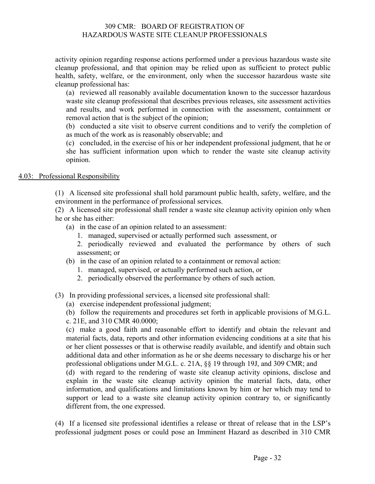activity opinion regarding response actions performed under a previous hazardous waste site cleanup professional, and that opinion may be relied upon as sufficient to protect public health, safety, welfare, or the environment, only when the successor hazardous waste site cleanup professional has:

(a) reviewed all reasonably available documentation known to the successor hazardous waste site cleanup professional that describes previous releases, site assessment activities and results, and work performed in connection with the assessment, containment or removal action that is the subject of the opinion;

(b) conducted a site visit to observe current conditions and to verify the completion of as much of the work as is reasonably observable; and

(c) concluded, in the exercise of his or her independent professional judgment, that he or she has sufficient information upon which to render the waste site cleanup activity opinion.

#### 4.03: Professional Responsibility

(1) A licensed site professional shall hold paramount public health, safety, welfare, and the environment in the performance of professional services.

(2) A licensed site professional shall render a waste site cleanup activity opinion only when he or she has either:

- (a) in the case of an opinion related to an assessment:
	- 1. managed, supervised or actually performed such assessment, or
	- 2. periodically reviewed and evaluated the performance by others of such assessment; or
- (b) in the case of an opinion related to a containment or removal action:
	- 1. managed, supervised, or actually performed such action, or
	- 2. periodically observed the performance by others of such action.
- (3) In providing professional services, a licensed site professional shall:
	- (a) exercise independent professional judgment;
	- (b) follow the requirements and procedures set forth in applicable provisions of M.G.L.
	- c. 21E, and 310 CMR 40.0000;

(c) make a good faith and reasonable effort to identify and obtain the relevant and material facts, data, reports and other information evidencing conditions at a site that his or her client possesses or that is otherwise readily available, and identify and obtain such additional data and other information as he or she deems necessary to discharge his or her professional obligations under M.G.L. c. 21A, §§ 19 through 19J, and 309 CMR; and

(d) with regard to the rendering of waste site cleanup activity opinions, disclose and explain in the waste site cleanup activity opinion the material facts, data, other information, and qualifications and limitations known by him or her which may tend to support or lead to a waste site cleanup activity opinion contrary to, or significantly different from, the one expressed.

(4) If a licensed site professional identifies a release or threat of release that in the LSP's professional judgment poses or could pose an Imminent Hazard as described in 310 CMR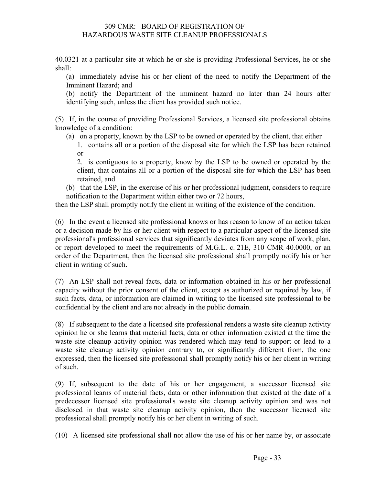40.0321 at a particular site at which he or she is providing Professional Services, he or she shall:

(a) immediately advise his or her client of the need to notify the Department of the Imminent Hazard; and

(b) notify the Department of the imminent hazard no later than 24 hours after identifying such, unless the client has provided such notice.

(5) If, in the course of providing Professional Services, a licensed site professional obtains knowledge of a condition:

- (a) on a property, known by the LSP to be owned or operated by the client, that either
	- 1. contains all or a portion of the disposal site for which the LSP has been retained or

2. is contiguous to a property, know by the LSP to be owned or operated by the client, that contains all or a portion of the disposal site for which the LSP has been retained, and

(b) that the LSP, in the exercise of his or her professional judgment, considers to require notification to the Department within either two or 72 hours,

then the LSP shall promptly notify the client in writing of the existence of the condition.

(6) In the event a licensed site professional knows or has reason to know of an action taken or a decision made by his or her client with respect to a particular aspect of the licensed site professional's professional services that significantly deviates from any scope of work, plan, or report developed to meet the requirements of M.G.L. c. 21E, 310 CMR 40.0000, or an order of the Department, then the licensed site professional shall promptly notify his or her client in writing of such.

(7) An LSP shall not reveal facts, data or information obtained in his or her professional capacity without the prior consent of the client, except as authorized or required by law, if such facts, data, or information are claimed in writing to the licensed site professional to be confidential by the client and are not already in the public domain.

(8) If subsequent to the date a licensed site professional renders a waste site cleanup activity opinion he or she learns that material facts, data or other information existed at the time the waste site cleanup activity opinion was rendered which may tend to support or lead to a waste site cleanup activity opinion contrary to, or significantly different from, the one expressed, then the licensed site professional shall promptly notify his or her client in writing of such.

(9) If, subsequent to the date of his or her engagement, a successor licensed site professional learns of material facts, data or other information that existed at the date of a predecessor licensed site professional's waste site cleanup activity opinion and was not disclosed in that waste site cleanup activity opinion, then the successor licensed site professional shall promptly notify his or her client in writing of such.

(10) A licensed site professional shall not allow the use of his or her name by, or associate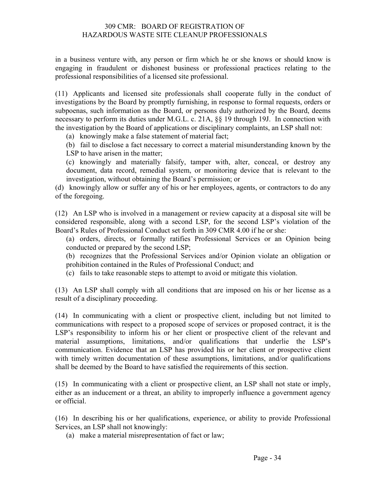in a business venture with, any person or firm which he or she knows or should know is engaging in fraudulent or dishonest business or professional practices relating to the professional responsibilities of a licensed site professional.

(11) Applicants and licensed site professionals shall cooperate fully in the conduct of investigations by the Board by promptly furnishing, in response to formal requests, orders or subpoenas, such information as the Board, or persons duly authorized by the Board, deems necessary to perform its duties under M.G.L. c. 21A, §§ 19 through 19J. In connection with the investigation by the Board of applications or disciplinary complaints, an LSP shall not:

(a) knowingly make a false statement of material fact;

(b) fail to disclose a fact necessary to correct a material misunderstanding known by the LSP to have arisen in the matter;

(c) knowingly and materially falsify, tamper with, alter, conceal, or destroy any document, data record, remedial system, or monitoring device that is relevant to the investigation, without obtaining the Board's permission; or

(d) knowingly allow or suffer any of his or her employees, agents, or contractors to do any of the foregoing.

(12) An LSP who is involved in a management or review capacity at a disposal site will be considered responsible, along with a second LSP, for the second LSP's violation of the Board's Rules of Professional Conduct set forth in 309 CMR 4.00 if he or she:

- (a) orders, directs, or formally ratifies Professional Services or an Opinion being conducted or prepared by the second LSP;
- (b) recognizes that the Professional Services and/or Opinion violate an obligation or prohibition contained in the Rules of Professional Conduct; and
- (c) fails to take reasonable steps to attempt to avoid or mitigate this violation.

(13) An LSP shall comply with all conditions that are imposed on his or her license as a result of a disciplinary proceeding.

(14) In communicating with a client or prospective client, including but not limited to communications with respect to a proposed scope of services or proposed contract, it is the LSP's responsibility to inform his or her client or prospective client of the relevant and material assumptions, limitations, and/or qualifications that underlie the LSP's communication. Evidence that an LSP has provided his or her client or prospective client with timely written documentation of these assumptions, limitations, and/or qualifications shall be deemed by the Board to have satisfied the requirements of this section.

(15) In communicating with a client or prospective client, an LSP shall not state or imply, either as an inducement or a threat, an ability to improperly influence a government agency or official.

(16) In describing his or her qualifications, experience, or ability to provide Professional Services, an LSP shall not knowingly:

(a) make a material misrepresentation of fact or law;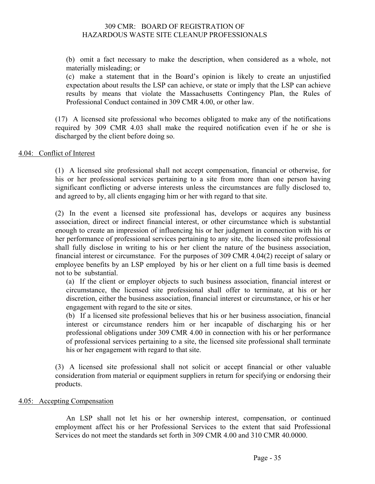(b) omit a fact necessary to make the description, when considered as a whole, not materially misleading; or

(c) make a statement that in the Board's opinion is likely to create an unjustified expectation about results the LSP can achieve, or state or imply that the LSP can achieve results by means that violate the Massachusetts Contingency Plan, the Rules of Professional Conduct contained in 309 CMR 4.00, or other law.

(17) A licensed site professional who becomes obligated to make any of the notifications required by 309 CMR 4.03 shall make the required notification even if he or she is discharged by the client before doing so.

#### 4.04: Conflict of Interest

(1) A licensed site professional shall not accept compensation, financial or otherwise, for his or her professional services pertaining to a site from more than one person having significant conflicting or adverse interests unless the circumstances are fully disclosed to, and agreed to by, all clients engaging him or her with regard to that site.

(2) In the event a licensed site professional has, develops or acquires any business association, direct or indirect financial interest, or other circumstance which is substantial enough to create an impression of influencing his or her judgment in connection with his or her performance of professional services pertaining to any site, the licensed site professional shall fully disclose in writing to his or her client the nature of the business association, financial interest or circumstance. For the purposes of 309 CMR 4.04(2) receipt of salary or employee benefits by an LSP employed by his or her client on a full time basis is deemed not to be substantial.

(a) If the client or employer objects to such business association, financial interest or circumstance, the licensed site professional shall offer to terminate, at his or her discretion, either the business association, financial interest or circumstance, or his or her engagement with regard to the site or sites.

(b) If a licensed site professional believes that his or her business association, financial interest or circumstance renders him or her incapable of discharging his or her professional obligations under 309 CMR 4.00 in connection with his or her performance of professional services pertaining to a site, the licensed site professional shall terminate his or her engagement with regard to that site.

(3) A licensed site professional shall not solicit or accept financial or other valuable consideration from material or equipment suppliers in return for specifying or endorsing their products.

#### 4.05: Accepting Compensation

An LSP shall not let his or her ownership interest, compensation, or continued employment affect his or her Professional Services to the extent that said Professional Services do not meet the standards set forth in 309 CMR 4.00 and 310 CMR 40.0000.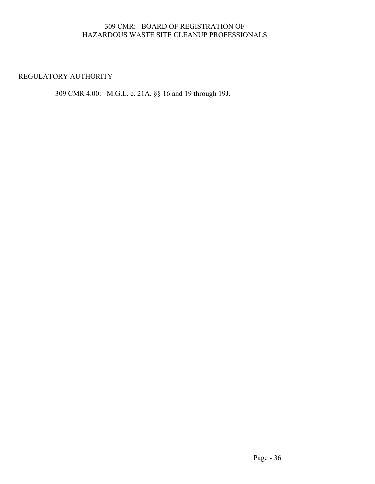#### REGULATORY AUTHORITY

309 CMR 4.00: M.G.L. c. 21A, §§ 16 and 19 through 19J.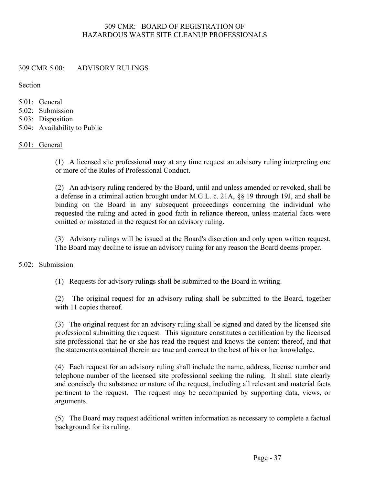#### 309 CMR 5.00: ADVISORY RULINGS

Section

- $5.01$  General
- 5.02: Submission
- 5.03: Disposition
- 5.04: Availability to Public

#### 5.01: General

(1) A licensed site professional may at any time request an advisory ruling interpreting one or more of the Rules of Professional Conduct.

(2) An advisory ruling rendered by the Board, until and unless amended or revoked, shall be a defense in a criminal action brought under M.G.L. c. 21A, §§ 19 through 19J, and shall be binding on the Board in any subsequent proceedings concerning the individual who requested the ruling and acted in good faith in reliance thereon, unless material facts were omitted or misstated in the request for an advisory ruling.

(3) Advisory rulings will be issued at the Board's discretion and only upon written request. The Board may decline to issue an advisory ruling for any reason the Board deems proper.

#### 5.02: Submission

(1) Requests for advisory rulings shall be submitted to the Board in writing.

(2) The original request for an advisory ruling shall be submitted to the Board, together with 11 copies thereof.

(3) The original request for an advisory ruling shall be signed and dated by the licensed site professional submitting the request. This signature constitutes a certification by the licensed site professional that he or she has read the request and knows the content thereof, and that the statements contained therein are true and correct to the best of his or her knowledge.

(4) Each request for an advisory ruling shall include the name, address, license number and telephone number of the licensed site professional seeking the ruling. It shall state clearly and concisely the substance or nature of the request, including all relevant and material facts pertinent to the request. The request may be accompanied by supporting data, views, or arguments.

(5) The Board may request additional written information as necessary to complete a factual background for its ruling.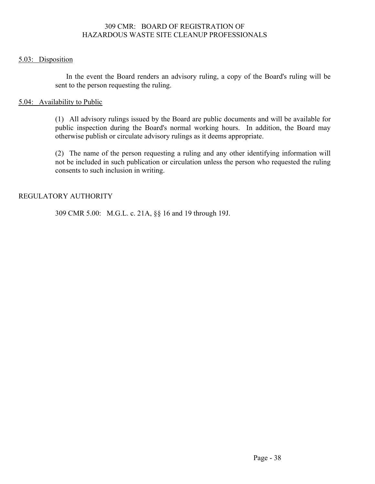#### 5.03: Disposition

In the event the Board renders an advisory ruling, a copy of the Board's ruling will be sent to the person requesting the ruling.

#### 5.04: Availability to Public

(1) All advisory rulings issued by the Board are public documents and will be available for public inspection during the Board's normal working hours. In addition, the Board may otherwise publish or circulate advisory rulings as it deems appropriate.

(2) The name of the person requesting a ruling and any other identifying information will not be included in such publication or circulation unless the person who requested the ruling consents to such inclusion in writing.

#### REGULATORY AUTHORITY

309 CMR 5.00: M.G.L. c. 21A, §§ 16 and 19 through 19J.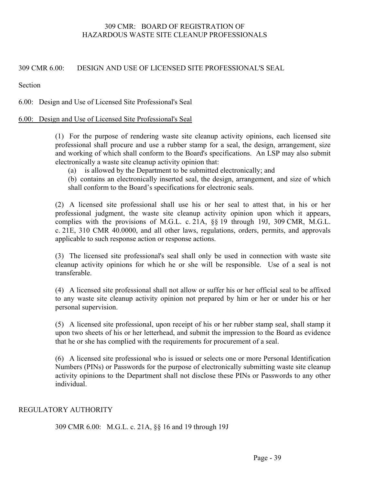#### 309 CMR 6.00: DESIGN AND USE OF LICENSED SITE PROFESSIONAL'S SEAL

Section

#### 6.00: Design and Use of Licensed Site Professional's Seal

#### 6.00: Design and Use of Licensed Site Professional's Seal

(1) For the purpose of rendering waste site cleanup activity opinions, each licensed site professional shall procure and use a rubber stamp for a seal, the design, arrangement, size and working of which shall conform to the Board's specifications. An LSP may also submit electronically a waste site cleanup activity opinion that:

(a) is allowed by the Department to be submitted electronically; and

(b) contains an electronically inserted seal, the design, arrangement, and size of which shall conform to the Board's specifications for electronic seals.

(2) A licensed site professional shall use his or her seal to attest that, in his or her professional judgment, the waste site cleanup activity opinion upon which it appears, complies with the provisions of M.G.L. c. 21A, §§ 19 through 19J, 309 CMR, M.G.L. c. 21E, 310 CMR 40.0000, and all other laws, regulations, orders, permits, and approvals applicable to such response action or response actions.

(3) The licensed site professional's seal shall only be used in connection with waste site cleanup activity opinions for which he or she will be responsible. Use of a seal is not transferable.

(4) A licensed site professional shall not allow or suffer his or her official seal to be affixed to any waste site cleanup activity opinion not prepared by him or her or under his or her personal supervision.

(5) A licensed site professional, upon receipt of his or her rubber stamp seal, shall stamp it upon two sheets of his or her letterhead, and submit the impression to the Board as evidence that he or she has complied with the requirements for procurement of a seal.

(6) A licensed site professional who is issued or selects one or more Personal Identification Numbers (PINs) or Passwords for the purpose of electronically submitting waste site cleanup activity opinions to the Department shall not disclose these PINs or Passwords to any other individual.

#### REGULATORY AUTHORITY

309 CMR 6.00: M.G.L. c. 21A, §§ 16 and 19 through 19J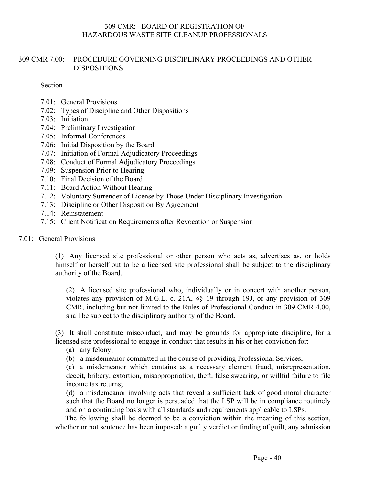#### 309 CMR 7.00: PROCEDURE GOVERNING DISCIPLINARY PROCEEDINGS AND OTHER DISPOSITIONS

Section

- 7.01: General Provisions
- 7.02: Types of Discipline and Other Dispositions
- 7.03: Initiation
- 7.04: Preliminary Investigation
- 7.05: Informal Conferences
- 7.06: Initial Disposition by the Board
- 7.07: Initiation of Formal Adjudicatory Proceedings
- 7.08: Conduct of Formal Adjudicatory Proceedings
- 7.09: Suspension Prior to Hearing
- 7.10: Final Decision of the Board
- 7.11: Board Action Without Hearing
- 7.12: Voluntary Surrender of License by Those Under Disciplinary Investigation
- 7.13: Discipline or Other Disposition By Agreement
- 7.14: Reinstatement
- 7.15: Client Notification Requirements after Revocation or Suspension

#### 7.01: General Provisions

(1) Any licensed site professional or other person who acts as, advertises as, or holds himself or herself out to be a licensed site professional shall be subject to the disciplinary authority of the Board.

(2) A licensed site professional who, individually or in concert with another person, violates any provision of M.G.L. c. 21A, §§ 19 through 19J, or any provision of 309 CMR, including but not limited to the Rules of Professional Conduct in 309 CMR 4.00, shall be subject to the disciplinary authority of the Board.

(3) It shall constitute misconduct, and may be grounds for appropriate discipline, for a licensed site professional to engage in conduct that results in his or her conviction for:

- (a) any felony;
- (b) a misdemeanor committed in the course of providing Professional Services;

(c) a misdemeanor which contains as a necessary element fraud, misrepresentation, deceit, bribery, extortion, misappropriation, theft, false swearing, or willful failure to file income tax returns;

(d) a misdemeanor involving acts that reveal a sufficient lack of good moral character such that the Board no longer is persuaded that the LSP will be in compliance routinely and on a continuing basis with all standards and requirements applicable to LSPs.

The following shall be deemed to be a conviction within the meaning of this section, whether or not sentence has been imposed: a guilty verdict or finding of guilt, any admission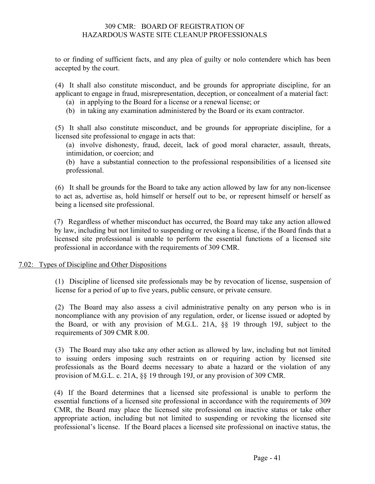to or finding of sufficient facts, and any plea of guilty or nolo contendere which has been accepted by the court.

(4) It shall also constitute misconduct, and be grounds for appropriate discipline, for an applicant to engage in fraud, misrepresentation, deception, or concealment of a material fact:

- (a) in applying to the Board for a license or a renewal license; or
- (b) in taking any examination administered by the Board or its exam contractor.

(5) It shall also constitute misconduct, and be grounds for appropriate discipline, for a licensed site professional to engage in acts that:

(a) involve dishonesty, fraud, deceit, lack of good moral character, assault, threats, intimidation, or coercion; and

(b) have a substantial connection to the professional responsibilities of a licensed site professional.

(6) It shall be grounds for the Board to take any action allowed by law for any non-licensee to act as, advertise as, hold himself or herself out to be, or represent himself or herself as being a licensed site professional.

(7) Regardless of whether misconduct has occurred, the Board may take any action allowed by law, including but not limited to suspending or revoking a license, if the Board finds that a licensed site professional is unable to perform the essential functions of a licensed site professional in accordance with the requirements of 309 CMR.

#### 7.02: Types of Discipline and Other Dispositions

(1) Discipline of licensed site professionals may be by revocation of license, suspension of license for a period of up to five years, public censure, or private censure.

(2) The Board may also assess a civil administrative penalty on any person who is in noncompliance with any provision of any regulation, order, or license issued or adopted by the Board, or with any provision of M.G.L. 21A, §§ 19 through 19J, subject to the requirements of 309 CMR 8.00.

(3) The Board may also take any other action as allowed by law, including but not limited to issuing orders imposing such restraints on or requiring action by licensed site professionals as the Board deems necessary to abate a hazard or the violation of any provision of M.G.L. c. 21A, §§ 19 through 19J, or any provision of 309 CMR.

(4) If the Board determines that a licensed site professional is unable to perform the essential functions of a licensed site professional in accordance with the requirements of 309 CMR, the Board may place the licensed site professional on inactive status or take other appropriate action, including but not limited to suspending or revoking the licensed site professional's license. If the Board places a licensed site professional on inactive status, the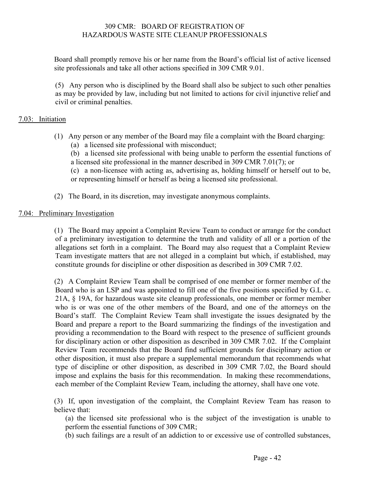Board shall promptly remove his or her name from the Board's official list of active licensed site professionals and take all other actions specified in 309 CMR 9.01.

(5) Any person who is disciplined by the Board shall also be subject to such other penalties as may be provided by law, including but not limited to actions for civil injunctive relief and civil or criminal penalties.

#### 7.03: Initiation

- (1) Any person or any member of the Board may file a complaint with the Board charging:
	- (a) a licensed site professional with misconduct;

(b) a licensed site professional with being unable to perform the essential functions of a licensed site professional in the manner described in 309 CMR 7.01(7); or

(c) a non-licensee with acting as, advertising as, holding himself or herself out to be, or representing himself or herself as being a licensed site professional.

(2) The Board, in its discretion, may investigate anonymous complaints.

#### 7.04: Preliminary Investigation

(1) The Board may appoint a Complaint Review Team to conduct or arrange for the conduct of a preliminary investigation to determine the truth and validity of all or a portion of the allegations set forth in a complaint. The Board may also request that a Complaint Review Team investigate matters that are not alleged in a complaint but which, if established, may constitute grounds for discipline or other disposition as described in 309 CMR 7.02.

(2) A Complaint Review Team shall be comprised of one member or former member of the Board who is an LSP and was appointed to fill one of the five positions specified by G.L. c. 21A, § 19A, for hazardous waste site cleanup professionals, one member or former member who is or was one of the other members of the Board, and one of the attorneys on the Board's staff. The Complaint Review Team shall investigate the issues designated by the Board and prepare a report to the Board summarizing the findings of the investigation and providing a recommendation to the Board with respect to the presence of sufficient grounds for disciplinary action or other disposition as described in 309 CMR 7.02. If the Complaint Review Team recommends that the Board find sufficient grounds for disciplinary action or other disposition, it must also prepare a supplemental memorandum that recommends what type of discipline or other disposition, as described in 309 CMR 7.02, the Board should impose and explains the basis for this recommendation. In making these recommendations, each member of the Complaint Review Team, including the attorney, shall have one vote.

(3) If, upon investigation of the complaint, the Complaint Review Team has reason to believe that:

(a) the licensed site professional who is the subject of the investigation is unable to perform the essential functions of 309 CMR;

(b) such failings are a result of an addiction to or excessive use of controlled substances,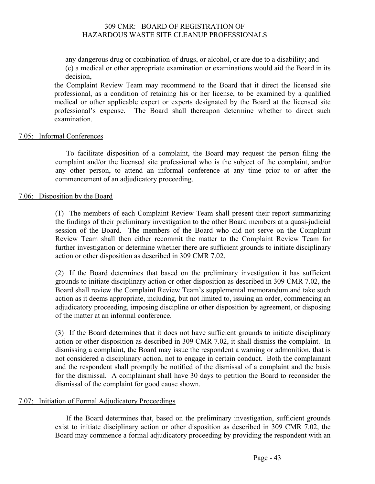any dangerous drug or combination of drugs, or alcohol, or are due to a disability; and (c) a medical or other appropriate examination or examinations would aid the Board in its decision,

the Complaint Review Team may recommend to the Board that it direct the licensed site professional, as a condition of retaining his or her license, to be examined by a qualified medical or other applicable expert or experts designated by the Board at the licensed site professional's expense. The Board shall thereupon determine whether to direct such examination.

#### 7.05: Informal Conferences

To facilitate disposition of a complaint, the Board may request the person filing the complaint and/or the licensed site professional who is the subject of the complaint, and/or any other person, to attend an informal conference at any time prior to or after the commencement of an adjudicatory proceeding.

#### 7.06: Disposition by the Board

(1) The members of each Complaint Review Team shall present their report summarizing the findings of their preliminary investigation to the other Board members at a quasi-judicial session of the Board. The members of the Board who did not serve on the Complaint Review Team shall then either recommit the matter to the Complaint Review Team for further investigation or determine whether there are sufficient grounds to initiate disciplinary action or other disposition as described in 309 CMR 7.02.

(2) If the Board determines that based on the preliminary investigation it has sufficient grounds to initiate disciplinary action or other disposition as described in 309 CMR 7.02, the Board shall review the Complaint Review Team's supplemental memorandum and take such action as it deems appropriate, including, but not limited to, issuing an order, commencing an adjudicatory proceeding, imposing discipline or other disposition by agreement, or disposing of the matter at an informal conference.

(3) If the Board determines that it does not have sufficient grounds to initiate disciplinary action or other disposition as described in 309 CMR 7.02, it shall dismiss the complaint. In dismissing a complaint, the Board may issue the respondent a warning or admonition, that is not considered a disciplinary action, not to engage in certain conduct. Both the complainant and the respondent shall promptly be notified of the dismissal of a complaint and the basis for the dismissal. A complainant shall have 30 days to petition the Board to reconsider the dismissal of the complaint for good cause shown.

#### 7.07: Initiation of Formal Adjudicatory Proceedings

If the Board determines that, based on the preliminary investigation, sufficient grounds exist to initiate disciplinary action or other disposition as described in 309 CMR 7.02, the Board may commence a formal adjudicatory proceeding by providing the respondent with an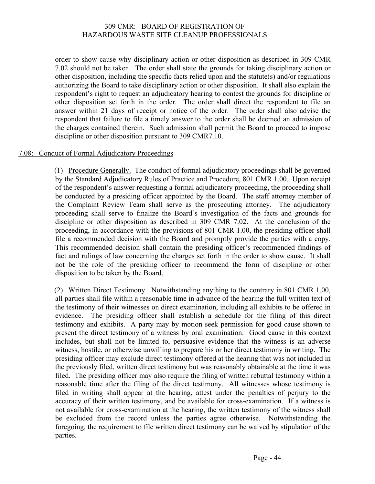order to show cause why disciplinary action or other disposition as described in 309 CMR 7.02 should not be taken. The order shall state the grounds for taking disciplinary action or other disposition, including the specific facts relied upon and the statute(s) and/or regulations authorizing the Board to take disciplinary action or other disposition. It shall also explain the respondent's right to request an adjudicatory hearing to contest the grounds for discipline or other disposition set forth in the order. The order shall direct the respondent to file an answer within 21 days of receipt or notice of the order. The order shall also advise the respondent that failure to file a timely answer to the order shall be deemed an admission of the charges contained therein. Such admission shall permit the Board to proceed to impose discipline or other disposition pursuant to 309 CMR7.10.

#### 7.08: Conduct of Formal Adjudicatory Proceedings

(1) Procedure Generally. The conduct of formal adjudicatory proceedings shall be governed by the Standard Adjudicatory Rules of Practice and Procedure, 801 CMR 1.00. Upon receipt of the respondent's answer requesting a formal adjudicatory proceeding, the proceeding shall be conducted by a presiding officer appointed by the Board. The staff attorney member of the Complaint Review Team shall serve as the prosecuting attorney. The adjudicatory proceeding shall serve to finalize the Board's investigation of the facts and grounds for discipline or other disposition as described in 309 CMR 7.02. At the conclusion of the proceeding, in accordance with the provisions of 801 CMR 1.00, the presiding officer shall file a recommended decision with the Board and promptly provide the parties with a copy. This recommended decision shall contain the presiding officer's recommended findings of fact and rulings of law concerning the charges set forth in the order to show cause. It shall not be the role of the presiding officer to recommend the form of discipline or other disposition to be taken by the Board.

(2) Written Direct Testimony. Notwithstanding anything to the contrary in 801 CMR 1.00, all parties shall file within a reasonable time in advance of the hearing the full written text of the testimony of their witnesses on direct examination, including all exhibits to be offered in evidence. The presiding officer shall establish a schedule for the filing of this direct testimony and exhibits. A party may by motion seek permission for good cause shown to present the direct testimony of a witness by oral examination. Good cause in this context includes, but shall not be limited to, persuasive evidence that the witness is an adverse witness, hostile, or otherwise unwilling to prepare his or her direct testimony in writing. The presiding officer may exclude direct testimony offered at the hearing that was not included in the previously filed, written direct testimony but was reasonably obtainable at the time it was filed. The presiding officer may also require the filing of written rebuttal testimony within a reasonable time after the filing of the direct testimony. All witnesses whose testimony is filed in writing shall appear at the hearing, attest under the penalties of perjury to the accuracy of their written testimony, and be available for cross-examination. If a witness is not available for cross-examination at the hearing, the written testimony of the witness shall be excluded from the record unless the parties agree otherwise. Notwithstanding the foregoing, the requirement to file written direct testimony can be waived by stipulation of the parties.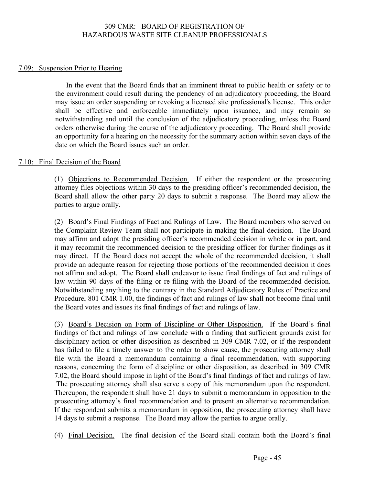#### 7.09: Suspension Prior to Hearing

In the event that the Board finds that an imminent threat to public health or safety or to the environment could result during the pendency of an adjudicatory proceeding, the Board may issue an order suspending or revoking a licensed site professional's license. This order shall be effective and enforceable immediately upon issuance, and may remain so notwithstanding and until the conclusion of the adjudicatory proceeding, unless the Board orders otherwise during the course of the adjudicatory proceeding. The Board shall provide an opportunity for a hearing on the necessity for the summary action within seven days of the date on which the Board issues such an order.

#### 7.10: Final Decision of the Board

(1) Objections to Recommended Decision. If either the respondent or the prosecuting attorney files objections within 30 days to the presiding officer's recommended decision, the Board shall allow the other party 20 days to submit a response. The Board may allow the parties to argue orally.

(2) Board's Final Findings of Fact and Rulings of Law. The Board members who served on the Complaint Review Team shall not participate in making the final decision. The Board may affirm and adopt the presiding officer's recommended decision in whole or in part, and it may recommit the recommended decision to the presiding officer for further findings as it may direct. If the Board does not accept the whole of the recommended decision, it shall provide an adequate reason for rejecting those portions of the recommended decision it does not affirm and adopt. The Board shall endeavor to issue final findings of fact and rulings of law within 90 days of the filing or re-filing with the Board of the recommended decision. Notwithstanding anything to the contrary in the Standard Adjudicatory Rules of Practice and Procedure, 801 CMR 1.00, the findings of fact and rulings of law shall not become final until the Board votes and issues its final findings of fact and rulings of law.

(3) Board's Decision on Form of Discipline or Other Disposition. If the Board's final findings of fact and rulings of law conclude with a finding that sufficient grounds exist for disciplinary action or other disposition as described in 309 CMR 7.02, or if the respondent has failed to file a timely answer to the order to show cause, the prosecuting attorney shall file with the Board a memorandum containing a final recommendation, with supporting reasons, concerning the form of discipline or other disposition, as described in 309 CMR 7.02, the Board should impose in light of the Board's final findings of fact and rulings of law. The prosecuting attorney shall also serve a copy of this memorandum upon the respondent. Thereupon, the respondent shall have 21 days to submit a memorandum in opposition to the prosecuting attorney's final recommendation and to present an alternative recommendation. If the respondent submits a memorandum in opposition, the prosecuting attorney shall have 14 days to submit a response. The Board may allow the parties to argue orally.

(4) Final Decision. The final decision of the Board shall contain both the Board's final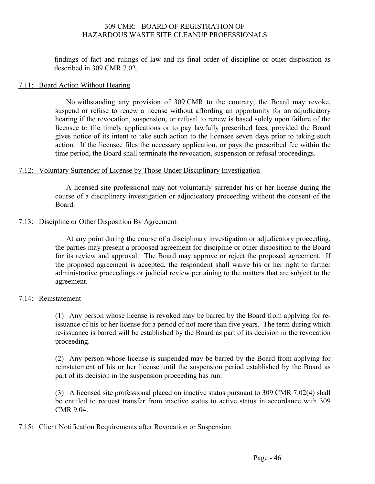findings of fact and rulings of law and its final order of discipline or other disposition as described in 309 CMR 7.02.

#### 7.11: Board Action Without Hearing

Notwithstanding any provision of 309 CMR to the contrary, the Board may revoke, suspend or refuse to renew a license without affording an opportunity for an adjudicatory hearing if the revocation, suspension, or refusal to renew is based solely upon failure of the licensee to file timely applications or to pay lawfully prescribed fees, provided the Board gives notice of its intent to take such action to the licensee seven days prior to taking such action. If the licensee files the necessary application, or pays the prescribed fee within the time period, the Board shall terminate the revocation, suspension or refusal proceedings.

#### 7.12: Voluntary Surrender of License by Those Under Disciplinary Investigation

A licensed site professional may not voluntarily surrender his or her license during the course of a disciplinary investigation or adjudicatory proceeding without the consent of the Board.

#### 7.13: Discipline or Other Disposition By Agreement

At any point during the course of a disciplinary investigation or adjudicatory proceeding, the parties may present a proposed agreement for discipline or other disposition to the Board for its review and approval. The Board may approve or reject the proposed agreement. If the proposed agreement is accepted, the respondent shall waive his or her right to further administrative proceedings or judicial review pertaining to the matters that are subject to the agreement.

#### 7.14: Reinstatement

(1) Any person whose license is revoked may be barred by the Board from applying for reissuance of his or her license for a period of not more than five years. The term during which re-issuance is barred will be established by the Board as part of its decision in the revocation proceeding.

(2) Any person whose license is suspended may be barred by the Board from applying for reinstatement of his or her license until the suspension period established by the Board as part of its decision in the suspension proceeding has run.

(3) A licensed site professional placed on inactive status pursuant to 309 CMR 7.02(4) shall be entitled to request transfer from inactive status to active status in accordance with 309 CMR 9.04.

#### 7.15: Client Notification Requirements after Revocation or Suspension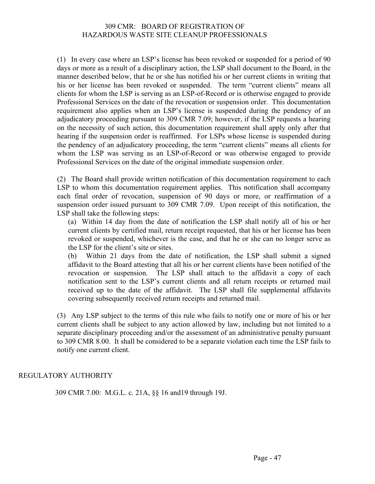(1) In every case where an LSP's license has been revoked or suspended for a period of 90 days or more as a result of a disciplinary action, the LSP shall document to the Board, in the manner described below, that he or she has notified his or her current clients in writing that his or her license has been revoked or suspended. The term "current clients" means all clients for whom the LSP is serving as an LSP-of-Record or is otherwise engaged to provide Professional Services on the date of the revocation or suspension order. This documentation requirement also applies when an LSP's license is suspended during the pendency of an adjudicatory proceeding pursuant to 309 CMR 7.09; however, if the LSP requests a hearing on the necessity of such action, this documentation requirement shall apply only after that hearing if the suspension order is reaffirmed. For LSPs whose license is suspended during the pendency of an adjudicatory proceeding, the term "current clients" means all clients for whom the LSP was serving as an LSP-of-Record or was otherwise engaged to provide Professional Services on the date of the original immediate suspension order.

(2) The Board shall provide written notification of this documentation requirement to each LSP to whom this documentation requirement applies. This notification shall accompany each final order of revocation, suspension of 90 days or more, or reaffirmation of a suspension order issued pursuant to 309 CMR 7.09. Upon receipt of this notification, the LSP shall take the following steps:

(a) Within 14 day from the date of notification the LSP shall notify all of his or her current clients by certified mail, return receipt requested, that his or her license has been revoked or suspended, whichever is the case, and that he or she can no longer serve as the LSP for the client's site or sites.

(b) Within 21 days from the date of notification, the LSP shall submit a signed affidavit to the Board attesting that all his or her current clients have been notified of the revocation or suspension. The LSP shall attach to the affidavit a copy of each notification sent to the LSP's current clients and all return receipts or returned mail received up to the date of the affidavit. The LSP shall file supplemental affidavits covering subsequently received return receipts and returned mail.

(3) Any LSP subject to the terms of this rule who fails to notify one or more of his or her current clients shall be subject to any action allowed by law, including but not limited to a separate disciplinary proceeding and/or the assessment of an administrative penalty pursuant to 309 CMR 8.00. It shall be considered to be a separate violation each time the LSP fails to notify one current client.

#### REGULATORY AUTHORITY

309 CMR 7.00: M.G.L. c. 21A, §§ 16 and19 through 19J.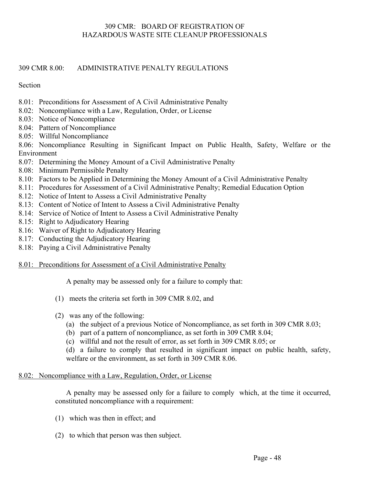#### 309 CMR 8.00: ADMINISTRATIVE PENALTY REGULATIONS

#### Section

- 8.01: Preconditions for Assessment of A Civil Administrative Penalty
- 8.02: Noncompliance with a Law, Regulation, Order, or License
- 8.03: Notice of Noncompliance
- 8.04: Pattern of Noncompliance
- 8.05: Willful Noncompliance

8.06: Noncompliance Resulting in Significant Impact on Public Health, Safety, Welfare or the Environment

- 8.07: Determining the Money Amount of a Civil Administrative Penalty
- 8.08: Minimum Permissible Penalty
- 8.10: Factors to be Applied in Determining the Money Amount of a Civil Administrative Penalty
- 8.11: Procedures for Assessment of a Civil Administrative Penalty; Remedial Education Option
- 8.12: Notice of Intent to Assess a Civil Administrative Penalty
- 8.13: Content of Notice of Intent to Assess a Civil Administrative Penalty
- 8.14: Service of Notice of Intent to Assess a Civil Administrative Penalty
- 8.15: Right to Adjudicatory Hearing
- 8.16: Waiver of Right to Adjudicatory Hearing
- 8.17: Conducting the Adjudicatory Hearing
- 8.18: Paying a Civil Administrative Penalty

#### 8.01: Preconditions for Assessment of a Civil Administrative Penalty

A penalty may be assessed only for a failure to comply that:

- (1) meets the criteria set forth in 309 CMR 8.02, and
- (2) was any of the following:
	- (a) the subject of a previous Notice of Noncompliance, as set forth in 309 CMR 8.03;
	- (b) part of a pattern of noncompliance, as set forth in 309 CMR 8.04;
	- (c) willful and not the result of error, as set forth in 309 CMR 8.05; or

(d) a failure to comply that resulted in significant impact on public health, safety, welfare or the environment, as set forth in 309 CMR 8.06.

#### 8.02: Noncompliance with a Law, Regulation, Order, or License

A penalty may be assessed only for a failure to comply which, at the time it occurred, constituted noncompliance with a requirement:

- (1) which was then in effect; and
- (2) to which that person was then subject.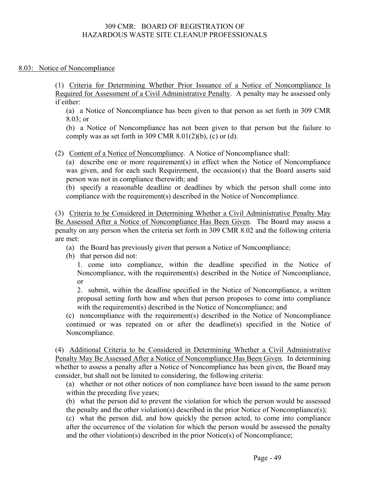#### 8.03: Notice of Noncompliance

(1) Criteria for Determining Whether Prior Issuance of a Notice of Noncompliance Is Required for Assessment of a Civil Administrative Penalty. A penalty may be assessed only if either:

(a) a Notice of Noncompliance has been given to that person as set forth in 309 CMR 8.03; or

(b) a Notice of Noncompliance has not been given to that person but the failure to comply was as set forth in 309 CMR  $8.01(2)(b)$ , (c) or (d).

(2) Content of a Notice of Noncompliance. A Notice of Noncompliance shall:

(a) describe one or more requirement(s) in effect when the Notice of Noncompliance was given, and for each such Requirement, the occasion(s) that the Board asserts said person was not in compliance therewith; and

(b) specify a reasonable deadline or deadlines by which the person shall come into compliance with the requirement(s) described in the Notice of Noncompliance.

(3) Criteria to be Considered in Determining Whether a Civil Administrative Penalty May Be Assessed After a Notice of Noncompliance Has Been Given. The Board may assess a penalty on any person when the criteria set forth in 309 CMR 8.02 and the following criteria are met:

- (a) the Board has previously given that person a Notice of Noncompliance;
- (b) that person did not:

1. come into compliance, within the deadline specified in the Notice of Noncompliance, with the requirement(s) described in the Notice of Noncompliance, or

2. submit, within the deadline specified in the Notice of Noncompliance, a written proposal setting forth how and when that person proposes to come into compliance with the requirement(s) described in the Notice of Noncompliance; and

(c) noncompliance with the requirement(s) described in the Notice of Noncompliance continued or was repeated on or after the deadline(s) specified in the Notice of Noncompliance.

(4) Additional Criteria to be Considered in Determining Whether a Civil Administrative Penalty May Be Assessed After a Notice of Noncompliance Has Been Given. In determining whether to assess a penalty after a Notice of Noncompliance has been given, the Board may consider, but shall not be limited to considering, the following criteria:

(a) whether or not other notices of non compliance have been issued to the same person within the preceding five years;

(b) what the person did to prevent the violation for which the person would be assessed the penalty and the other violation(s) described in the prior Notice of Noncompliance(s);

(c) what the person did, and how quickly the person acted, to come into compliance after the occurrence of the violation for which the person would be assessed the penalty and the other violation(s) described in the prior Notice(s) of Noncompliance;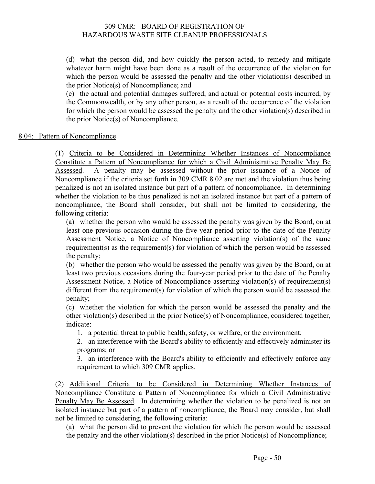(d) what the person did, and how quickly the person acted, to remedy and mitigate whatever harm might have been done as a result of the occurrence of the violation for which the person would be assessed the penalty and the other violation(s) described in the prior Notice(s) of Noncompliance; and

(e) the actual and potential damages suffered, and actual or potential costs incurred, by the Commonwealth, or by any other person, as a result of the occurrence of the violation for which the person would be assessed the penalty and the other violation(s) described in the prior Notice(s) of Noncompliance.

#### 8.04: Pattern of Noncompliance

(1) Criteria to be Considered in Determining Whether Instances of Noncompliance Constitute a Pattern of Noncompliance for which a Civil Administrative Penalty May Be Assessed. A penalty may be assessed without the prior issuance of a Notice of Noncompliance if the criteria set forth in 309 CMR 8.02 are met and the violation thus being penalized is not an isolated instance but part of a pattern of noncompliance. In determining whether the violation to be thus penalized is not an isolated instance but part of a pattern of noncompliance, the Board shall consider, but shall not be limited to considering, the following criteria:

(a) whether the person who would be assessed the penalty was given by the Board, on at least one previous occasion during the five-year period prior to the date of the Penalty Assessment Notice, a Notice of Noncompliance asserting violation(s) of the same requirement(s) as the requirement(s) for violation of which the person would be assessed the penalty;

(b) whether the person who would be assessed the penalty was given by the Board, on at least two previous occasions during the four-year period prior to the date of the Penalty Assessment Notice, a Notice of Noncompliance asserting violation(s) of requirement(s) different from the requirement(s) for violation of which the person would be assessed the penalty;

(c) whether the violation for which the person would be assessed the penalty and the other violation(s) described in the prior Notice(s) of Noncompliance, considered together, indicate:

1. a potential threat to public health, safety, or welfare, or the environment;

2. an interference with the Board's ability to efficiently and effectively administer its programs; or

3. an interference with the Board's ability to efficiently and effectively enforce any requirement to which 309 CMR applies.

(2) Additional Criteria to be Considered in Determining Whether Instances of Noncompliance Constitute a Pattern of Noncompliance for which a Civil Administrative Penalty May Be Assessed. In determining whether the violation to be penalized is not an isolated instance but part of a pattern of noncompliance, the Board may consider, but shall not be limited to considering, the following criteria:

(a) what the person did to prevent the violation for which the person would be assessed the penalty and the other violation(s) described in the prior Notice(s) of Noncompliance;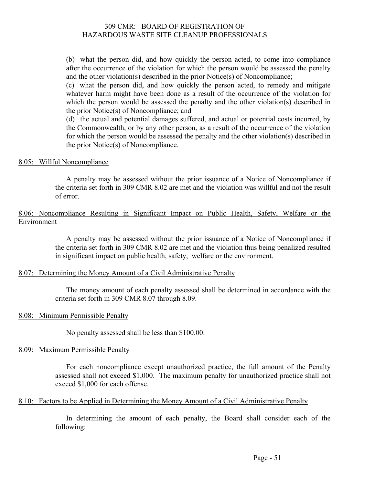(b) what the person did, and how quickly the person acted, to come into compliance after the occurrence of the violation for which the person would be assessed the penalty and the other violation(s) described in the prior Notice(s) of Noncompliance;

(c) what the person did, and how quickly the person acted, to remedy and mitigate whatever harm might have been done as a result of the occurrence of the violation for which the person would be assessed the penalty and the other violation(s) described in the prior Notice(s) of Noncompliance; and

(d) the actual and potential damages suffered, and actual or potential costs incurred, by the Commonwealth, or by any other person, as a result of the occurrence of the violation for which the person would be assessed the penalty and the other violation(s) described in the prior Notice(s) of Noncompliance.

#### 8.05: Willful Noncompliance

A penalty may be assessed without the prior issuance of a Notice of Noncompliance if the criteria set forth in 309 CMR 8.02 are met and the violation was willful and not the result of error.

#### 8.06: Noncompliance Resulting in Significant Impact on Public Health, Safety, Welfare or the Environment

A penalty may be assessed without the prior issuance of a Notice of Noncompliance if the criteria set forth in 309 CMR 8.02 are met and the violation thus being penalized resulted in significant impact on public health, safety, welfare or the environment.

#### 8.07: Determining the Money Amount of a Civil Administrative Penalty

The money amount of each penalty assessed shall be determined in accordance with the criteria set forth in 309 CMR 8.07 through 8.09.

#### 8.08: Minimum Permissible Penalty

No penalty assessed shall be less than \$100.00.

#### 8.09: Maximum Permissible Penalty

For each noncompliance except unauthorized practice, the full amount of the Penalty assessed shall not exceed \$1,000. The maximum penalty for unauthorized practice shall not exceed \$1,000 for each offense.

#### 8.10: Factors to be Applied in Determining the Money Amount of a Civil Administrative Penalty

In determining the amount of each penalty, the Board shall consider each of the following: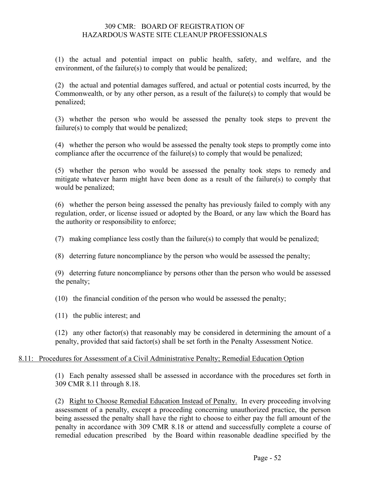(1) the actual and potential impact on public health, safety, and welfare, and the environment, of the failure(s) to comply that would be penalized;

(2) the actual and potential damages suffered, and actual or potential costs incurred, by the Commonwealth, or by any other person, as a result of the failure(s) to comply that would be penalized;

(3) whether the person who would be assessed the penalty took steps to prevent the failure(s) to comply that would be penalized;

(4) whether the person who would be assessed the penalty took steps to promptly come into compliance after the occurrence of the failure(s) to comply that would be penalized;

(5) whether the person who would be assessed the penalty took steps to remedy and mitigate whatever harm might have been done as a result of the failure(s) to comply that would be penalized;

(6) whether the person being assessed the penalty has previously failed to comply with any regulation, order, or license issued or adopted by the Board, or any law which the Board has the authority or responsibility to enforce;

(7) making compliance less costly than the failure(s) to comply that would be penalized;

(8) deterring future noncompliance by the person who would be assessed the penalty;

(9) deterring future noncompliance by persons other than the person who would be assessed the penalty;

(10) the financial condition of the person who would be assessed the penalty;

(11) the public interest; and

(12) any other factor(s) that reasonably may be considered in determining the amount of a penalty, provided that said factor(s) shall be set forth in the Penalty Assessment Notice.

#### 8.11: Procedures for Assessment of a Civil Administrative Penalty; Remedial Education Option

(1) Each penalty assessed shall be assessed in accordance with the procedures set forth in 309 CMR 8.11 through 8.18.

(2) Right to Choose Remedial Education Instead of Penalty. In every proceeding involving assessment of a penalty, except a proceeding concerning unauthorized practice, the person being assessed the penalty shall have the right to choose to either pay the full amount of the penalty in accordance with 309 CMR 8.18 or attend and successfully complete a course of remedial education prescribed by the Board within reasonable deadline specified by the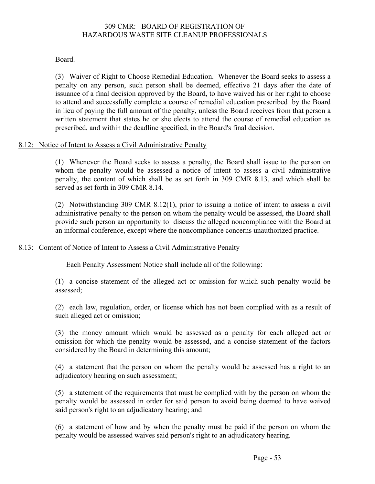#### Board.

(3) Waiver of Right to Choose Remedial Education. Whenever the Board seeks to assess a penalty on any person, such person shall be deemed, effective 21 days after the date of issuance of a final decision approved by the Board, to have waived his or her right to choose to attend and successfully complete a course of remedial education prescribed by the Board in lieu of paying the full amount of the penalty, unless the Board receives from that person a written statement that states he or she elects to attend the course of remedial education as prescribed, and within the deadline specified, in the Board's final decision.

#### 8.12: Notice of Intent to Assess a Civil Administrative Penalty

(1) Whenever the Board seeks to assess a penalty, the Board shall issue to the person on whom the penalty would be assessed a notice of intent to assess a civil administrative penalty, the content of which shall be as set forth in 309 CMR 8.13, and which shall be served as set forth in 309 CMR 8.14.

(2) Notwithstanding 309 CMR 8.12(1), prior to issuing a notice of intent to assess a civil administrative penalty to the person on whom the penalty would be assessed, the Board shall provide such person an opportunity to discuss the alleged noncompliance with the Board at an informal conference, except where the noncompliance concerns unauthorized practice.

#### 8.13: Content of Notice of Intent to Assess a Civil Administrative Penalty

Each Penalty Assessment Notice shall include all of the following:

(1) a concise statement of the alleged act or omission for which such penalty would be assessed;

(2) each law, regulation, order, or license which has not been complied with as a result of such alleged act or omission;

(3) the money amount which would be assessed as a penalty for each alleged act or omission for which the penalty would be assessed, and a concise statement of the factors considered by the Board in determining this amount;

(4) a statement that the person on whom the penalty would be assessed has a right to an adjudicatory hearing on such assessment;

(5) a statement of the requirements that must be complied with by the person on whom the penalty would be assessed in order for said person to avoid being deemed to have waived said person's right to an adjudicatory hearing; and

(6) a statement of how and by when the penalty must be paid if the person on whom the penalty would be assessed waives said person's right to an adjudicatory hearing.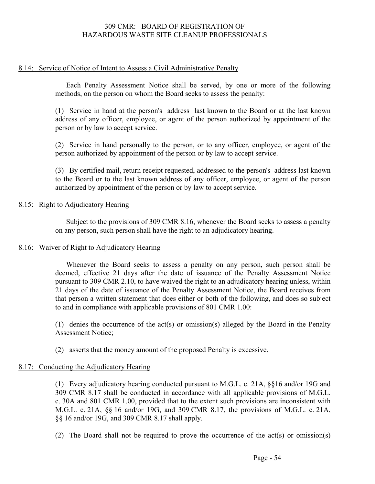#### 8.14: Service of Notice of Intent to Assess a Civil Administrative Penalty

Each Penalty Assessment Notice shall be served, by one or more of the following methods, on the person on whom the Board seeks to assess the penalty:

(1) Service in hand at the person's address last known to the Board or at the last known address of any officer, employee, or agent of the person authorized by appointment of the person or by law to accept service.

(2) Service in hand personally to the person, or to any officer, employee, or agent of the person authorized by appointment of the person or by law to accept service.

(3) By certified mail, return receipt requested, addressed to the person's address last known to the Board or to the last known address of any officer, employee, or agent of the person authorized by appointment of the person or by law to accept service.

#### 8.15: Right to Adjudicatory Hearing

Subject to the provisions of 309 CMR 8.16, whenever the Board seeks to assess a penalty on any person, such person shall have the right to an adjudicatory hearing.

#### 8.16: Waiver of Right to Adjudicatory Hearing

Whenever the Board seeks to assess a penalty on any person, such person shall be deemed, effective 21 days after the date of issuance of the Penalty Assessment Notice pursuant to 309 CMR 2.10, to have waived the right to an adjudicatory hearing unless, within 21 days of the date of issuance of the Penalty Assessment Notice, the Board receives from that person a written statement that does either or both of the following, and does so subject to and in compliance with applicable provisions of 801 CMR 1.00:

(1) denies the occurrence of the act(s) or omission(s) alleged by the Board in the Penalty Assessment Notice;

(2) asserts that the money amount of the proposed Penalty is excessive.

#### 8.17: Conducting the Adjudicatory Hearing

(1) Every adjudicatory hearing conducted pursuant to M.G.L. c. 21A, §§16 and/or 19G and 309 CMR 8.17 shall be conducted in accordance with all applicable provisions of M.G.L. c. 30A and 801 CMR 1.00, provided that to the extent such provisions are inconsistent with M.G.L. c. 21A, §§ 16 and/or 19G, and 309 CMR 8.17, the provisions of M.G.L. c. 21A, §§ 16 and/or 19G, and 309 CMR 8.17 shall apply.

(2) The Board shall not be required to prove the occurrence of the  $act(s)$  or omission(s)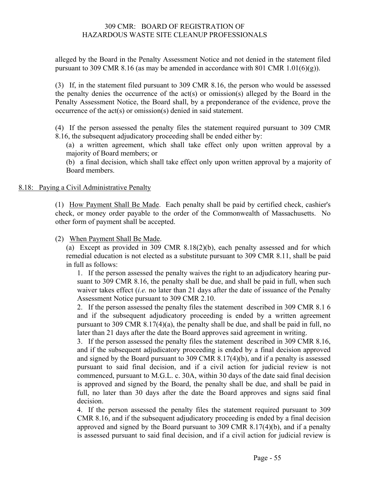alleged by the Board in the Penalty Assessment Notice and not denied in the statement filed pursuant to 309 CMR 8.16 (as may be amended in accordance with 801 CMR 1.01(6)(g)).

(3) If, in the statement filed pursuant to 309 CMR 8.16, the person who would be assessed the penalty denies the occurrence of the act(s) or omission(s) alleged by the Board in the Penalty Assessment Notice, the Board shall, by a preponderance of the evidence, prove the occurrence of the act(s) or omission(s) denied in said statement.

(4) If the person assessed the penalty files the statement required pursuant to 309 CMR 8.16, the subsequent adjudicatory proceeding shall be ended either by:

(a) a written agreement, which shall take effect only upon written approval by a majority of Board members; or

(b) a final decision, which shall take effect only upon written approval by a majority of Board members.

#### 8.18: Paying a Civil Administrative Penalty

(1) How Payment Shall Be Made. Each penalty shall be paid by certified check, cashier's check, or money order payable to the order of the Commonwealth of Massachusetts. No other form of payment shall be accepted.

(2) When Payment Shall Be Made.

(a) Except as provided in 309 CMR 8.18(2)(b), each penalty assessed and for which remedial education is not elected as a substitute pursuant to 309 CMR 8.11, shall be paid in full as follows:

1. If the person assessed the penalty waives the right to an adjudicatory hearing pursuant to 309 CMR 8.16, the penalty shall be due, and shall be paid in full, when such waiver takes effect (*i.e.* no later than 21 days after the date of issuance of the Penalty Assessment Notice pursuant to 309 CMR 2.10.

2. If the person assessed the penalty files the statement described in 309 CMR 8.1 6 and if the subsequent adjudicatory proceeding is ended by a written agreement pursuant to 309 CMR 8.17(4)(a), the penalty shall be due, and shall be paid in full, no later than 21 days after the date the Board approves said agreement in writing.

3. If the person assessed the penalty files the statement described in 309 CMR 8.16, and if the subsequent adjudicatory proceeding is ended by a final decision approved and signed by the Board pursuant to 309 CMR 8.17(4)(b), and if a penalty is assessed pursuant to said final decision, and if a civil action for judicial review is not commenced, pursuant to M.G.L. c. 30A, within 30 days of the date said final decision is approved and signed by the Board, the penalty shall be due, and shall be paid in full, no later than 30 days after the date the Board approves and signs said final decision.

4. If the person assessed the penalty files the statement required pursuant to 309 CMR 8.16, and if the subsequent adjudicatory proceeding is ended by a final decision approved and signed by the Board pursuant to 309 CMR 8.17(4)(b), and if a penalty is assessed pursuant to said final decision, and if a civil action for judicial review is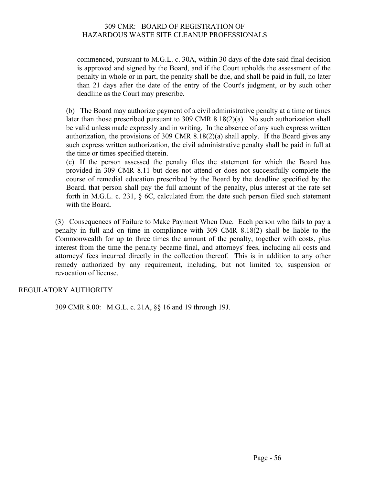commenced, pursuant to M.G.L. c. 30A, within 30 days of the date said final decision is approved and signed by the Board, and if the Court upholds the assessment of the penalty in whole or in part, the penalty shall be due, and shall be paid in full, no later than 21 days after the date of the entry of the Court's judgment, or by such other deadline as the Court may prescribe.

(b) The Board may authorize payment of a civil administrative penalty at a time or times later than those prescribed pursuant to 309 CMR 8.18(2)(a). No such authorization shall be valid unless made expressly and in writing. In the absence of any such express written authorization, the provisions of 309 CMR 8.18(2)(a) shall apply. If the Board gives any such express written authorization, the civil administrative penalty shall be paid in full at the time or times specified therein.

(c) If the person assessed the penalty files the statement for which the Board has provided in 309 CMR 8.11 but does not attend or does not successfully complete the course of remedial education prescribed by the Board by the deadline specified by the Board, that person shall pay the full amount of the penalty, plus interest at the rate set forth in M.G.L. c. 231, § 6C, calculated from the date such person filed such statement with the Board.

(3) Consequences of Failure to Make Payment When Due. Each person who fails to pay a penalty in full and on time in compliance with 309 CMR 8.18(2) shall be liable to the Commonwealth for up to three times the amount of the penalty, together with costs, plus interest from the time the penalty became final, and attorneys' fees, including all costs and attorneys' fees incurred directly in the collection thereof. This is in addition to any other remedy authorized by any requirement, including, but not limited to, suspension or revocation of license.

#### REGULATORY AUTHORITY

309 CMR 8.00: M.G.L. c. 21A, §§ 16 and 19 through 19J.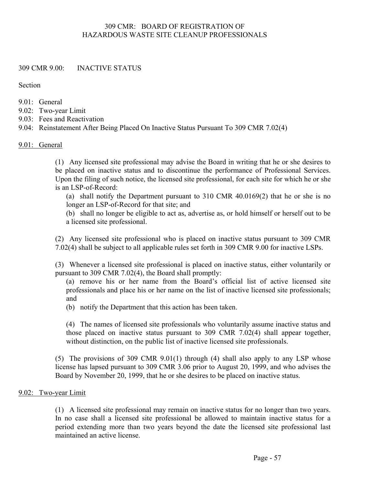#### 309 CMR 9.00: INACTIVE STATUS

Section

- $9.01 \cdot$  General
- 9.02: Two-year Limit
- 9.03: Fees and Reactivation
- 9.04: Reinstatement After Being Placed On Inactive Status Pursuant To 309 CMR 7.02(4)

#### 9.01: General

(1) Any licensed site professional may advise the Board in writing that he or she desires to be placed on inactive status and to discontinue the performance of Professional Services. Upon the filing of such notice, the licensed site professional, for each site for which he or she is an LSP-of-Record:

(a) shall notify the Department pursuant to 310 CMR 40.0169(2) that he or she is no longer an LSP-of-Record for that site; and

(b) shall no longer be eligible to act as, advertise as, or hold himself or herself out to be a licensed site professional.

(2) Any licensed site professional who is placed on inactive status pursuant to 309 CMR 7.02(4) shall be subject to all applicable rules set forth in 309 CMR 9.00 for inactive LSPs.

(3) Whenever a licensed site professional is placed on inactive status, either voluntarily or pursuant to 309 CMR 7.02(4), the Board shall promptly:

(a) remove his or her name from the Board's official list of active licensed site professionals and place his or her name on the list of inactive licensed site professionals; and

(b) notify the Department that this action has been taken.

(4) The names of licensed site professionals who voluntarily assume inactive status and those placed on inactive status pursuant to 309 CMR 7.02(4) shall appear together, without distinction, on the public list of inactive licensed site professionals.

(5) The provisions of 309 CMR 9.01(1) through (4) shall also apply to any LSP whose license has lapsed pursuant to 309 CMR 3.06 prior to August 20, 1999, and who advises the Board by November 20, 1999, that he or she desires to be placed on inactive status.

#### 9.02: Two-year Limit

(1) A licensed site professional may remain on inactive status for no longer than two years. In no case shall a licensed site professional be allowed to maintain inactive status for a period extending more than two years beyond the date the licensed site professional last maintained an active license.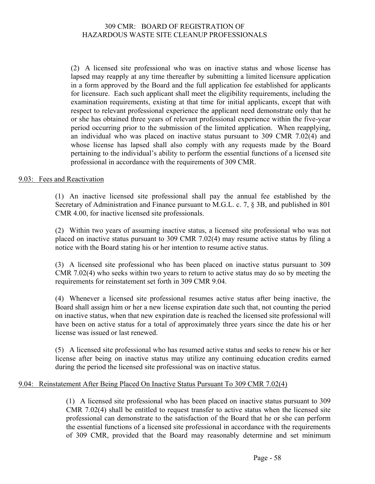(2) A licensed site professional who was on inactive status and whose license has lapsed may reapply at any time thereafter by submitting a limited licensure application in a form approved by the Board and the full application fee established for applicants for licensure. Each such applicant shall meet the eligibility requirements, including the examination requirements, existing at that time for initial applicants, except that with respect to relevant professional experience the applicant need demonstrate only that he or she has obtained three years of relevant professional experience within the five-year period occurring prior to the submission of the limited application. When reapplying, an individual who was placed on inactive status pursuant to 309 CMR 7.02(4) and whose license has lapsed shall also comply with any requests made by the Board pertaining to the individual's ability to perform the essential functions of a licensed site professional in accordance with the requirements of 309 CMR.

#### 9.03: Fees and Reactivation

(1) An inactive licensed site professional shall pay the annual fee established by the Secretary of Administration and Finance pursuant to M.G.L. c. 7, § 3B, and published in 801 CMR 4.00, for inactive licensed site professionals.

(2) Within two years of assuming inactive status, a licensed site professional who was not placed on inactive status pursuant to 309 CMR 7.02(4) may resume active status by filing a notice with the Board stating his or her intention to resume active status.

(3) A licensed site professional who has been placed on inactive status pursuant to 309 CMR 7.02(4) who seeks within two years to return to active status may do so by meeting the requirements for reinstatement set forth in 309 CMR 9.04.

(4) Whenever a licensed site professional resumes active status after being inactive, the Board shall assign him or her a new license expiration date such that, not counting the period on inactive status, when that new expiration date is reached the licensed site professional will have been on active status for a total of approximately three years since the date his or her license was issued or last renewed.

(5) A licensed site professional who has resumed active status and seeks to renew his or her license after being on inactive status may utilize any continuing education credits earned during the period the licensed site professional was on inactive status.

#### 9.04: Reinstatement After Being Placed On Inactive Status Pursuant To 309 CMR 7.02(4)

(1) A licensed site professional who has been placed on inactive status pursuant to 309 CMR 7.02(4) shall be entitled to request transfer to active status when the licensed site professional can demonstrate to the satisfaction of the Board that he or she can perform the essential functions of a licensed site professional in accordance with the requirements of 309 CMR, provided that the Board may reasonably determine and set minimum